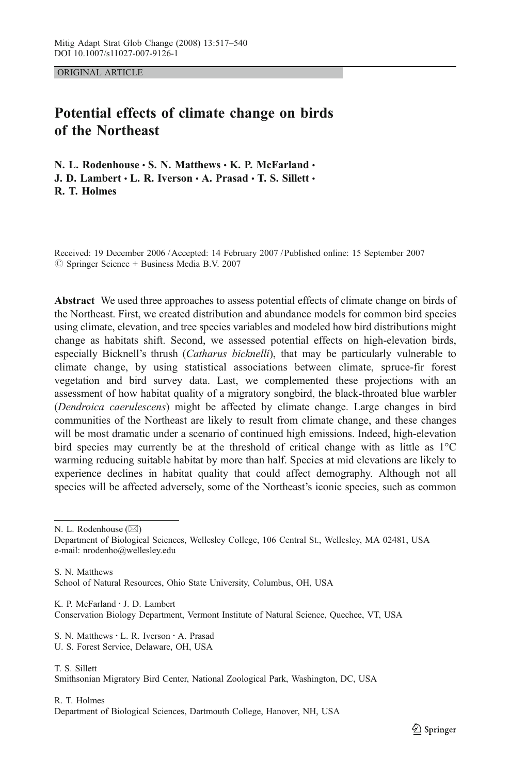ORIGINAL ARTICLE

# Potential effects of climate change on birds of the Northeast

N. L. Rodenhouse  $\cdot$  S. N. Matthews  $\cdot$  K. P. McFarland  $\cdot$ J. D. Lambert  $\cdot$  L. R. Iverson  $\cdot$  A. Prasad  $\cdot$  T. S. Sillett  $\cdot$ R. T. Holmes

Received: 19 December 2006 / Accepted: 14 February 2007 / Published online: 15 September 2007  $\oslash$  Springer Science + Business Media B.V. 2007

Abstract We used three approaches to assess potential effects of climate change on birds of the Northeast. First, we created distribution and abundance models for common bird species using climate, elevation, and tree species variables and modeled how bird distributions might change as habitats shift. Second, we assessed potential effects on high-elevation birds, especially Bicknell's thrush *(Catharus bicknelli)*, that may be particularly vulnerable to climate change, by using statistical associations between climate, spruce-fir forest vegetation and bird survey data. Last, we complemented these projections with an assessment of how habitat quality of a migratory songbird, the black-throated blue warbler (Dendroica caerulescens) might be affected by climate change. Large changes in bird communities of the Northeast are likely to result from climate change, and these changes will be most dramatic under a scenario of continued high emissions. Indeed, high-elevation bird species may currently be at the threshold of critical change with as little as 1°C warming reducing suitable habitat by more than half. Species at mid elevations are likely to experience declines in habitat quality that could affect demography. Although not all species will be affected adversely, some of the Northeast's iconic species, such as common

N. L. Rodenhouse (*\**)

Department of Biological Sciences, Wellesley College, 106 Central St., Wellesley, MA 02481, USA e-mail: nrodenho@wellesley.edu

S. N. Matthews School of Natural Resources, Ohio State University, Columbus, OH, USA

K. P. McFarland : J. D. Lambert Conservation Biology Department, Vermont Institute of Natural Science, Quechee, VT, USA

S. N. Matthews: L. R. Iverson : A. Prasad U. S. Forest Service, Delaware, OH, USA

T. S. Sillett Smithsonian Migratory Bird Center, National Zoological Park, Washington, DC, USA

R. T. Holmes Department of Biological Sciences, Dartmouth College, Hanover, NH, USA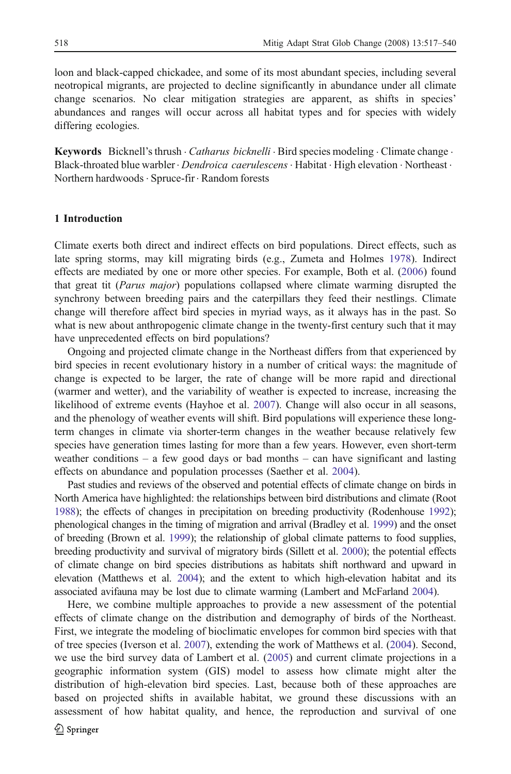<span id="page-1-0"></span>loon and black-capped chickadee, and some of its most abundant species, including several neotropical migrants, are projected to decline significantly in abundance under all climate change scenarios. No clear mitigation strategies are apparent, as shifts in species' abundances and ranges will occur across all habitat types and for species with widely differing ecologies.

**Keywords** Bicknell's thrush  $\cdot$  *Catharus bicknelli*  $\cdot$  Bird species modeling  $\cdot$  Climate change  $\cdot$ Black-throated blue warbler · Dendroica caerulescens · Habitat · High elevation · Northeast · Northern hardwoods . Spruce-fir. Random forests

# 1 Introduction

Climate exerts both direct and indirect effects on bird populations. Direct effects, such as late spring storms, may kill migrating birds (e.g., Zumeta and Holmes [1978\)](#page-23-0). Indirect effects are mediated by one or more other species. For example, Both et al. [\(2006](#page-21-0)) found that great tit (Parus major) populations collapsed where climate warming disrupted the synchrony between breeding pairs and the caterpillars they feed their nestlings. Climate change will therefore affect bird species in myriad ways, as it always has in the past. So what is new about anthropogenic climate change in the twenty-first century such that it may have unprecedented effects on bird populations?

Ongoing and projected climate change in the Northeast differs from that experienced by bird species in recent evolutionary history in a number of critical ways: the magnitude of change is expected to be larger, the rate of change will be more rapid and directional (warmer and wetter), and the variability of weather is expected to increase, increasing the likelihood of extreme events (Hayhoe et al. [2007](#page-21-0)). Change will also occur in all seasons, and the phenology of weather events will shift. Bird populations will experience these longterm changes in climate via shorter-term changes in the weather because relatively few species have generation times lasting for more than a few years. However, even short-term weather conditions – a few good days or bad months – can have significant and lasting effects on abundance and population processes (Saether et al. [2004\)](#page-23-0).

Past studies and reviews of the observed and potential effects of climate change on birds in North America have highlighted: the relationships between bird distributions and climate (Root [1988](#page-22-0)); the effects of changes in precipitation on breeding productivity (Rodenhouse [1992](#page-22-0)); phenological changes in the timing of migration and arrival (Bradley et al. [1999\)](#page-21-0) and the onset of breeding (Brown et al. [1999\)](#page-21-0); the relationship of global climate patterns to food supplies, breeding productivity and survival of migratory birds (Sillett et al. [2000](#page-23-0)); the potential effects of climate change on bird species distributions as habitats shift northward and upward in elevation (Matthews et al. [2004\)](#page-22-0); and the extent to which high-elevation habitat and its associated avifauna may be lost due to climate warming (Lambert and McFarland [2004\)](#page-22-0).

Here, we combine multiple approaches to provide a new assessment of the potential effects of climate change on the distribution and demography of birds of the Northeast. First, we integrate the modeling of bioclimatic envelopes for common bird species with that of tree species (Iverson et al. [2007](#page-21-0)), extending the work of Matthews et al. ([2004](#page-22-0)). Second, we use the bird survey data of Lambert et al. ([2005\)](#page-22-0) and current climate projections in a geographic information system (GIS) model to assess how climate might alter the distribution of high-elevation bird species. Last, because both of these approaches are based on projected shifts in available habitat, we ground these discussions with an assessment of how habitat quality, and hence, the reproduction and survival of one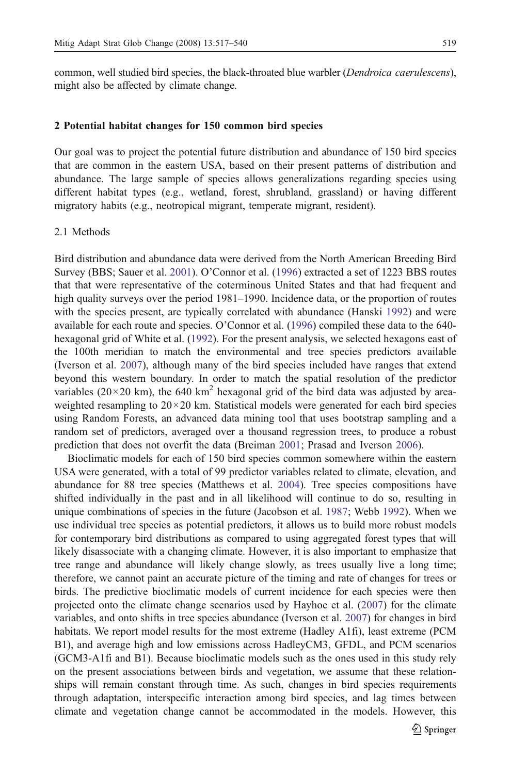common, well studied bird species, the black-throated blue warbler (*Dendroica caerulescens*), might also be affected by climate change.

#### 2 Potential habitat changes for 150 common bird species

Our goal was to project the potential future distribution and abundance of 150 bird species that are common in the eastern USA, based on their present patterns of distribution and abundance. The large sample of species allows generalizations regarding species using different habitat types (e.g., wetland, forest, shrubland, grassland) or having different migratory habits (e.g., neotropical migrant, temperate migrant, resident).

# 2.1 Methods

Bird distribution and abundance data were derived from the North American Breeding Bird Survey (BBS; Sauer et al. [2001](#page-23-0)). O'Connor et al. [\(1996](#page-22-0)) extracted a set of 1223 BBS routes that that were representative of the coterminous United States and that had frequent and high quality surveys over the period 1981–1990. Incidence data, or the proportion of routes with the species present, are typically correlated with abundance (Hanski [1992](#page-21-0)) and were available for each route and species. O'Connor et al. [\(1996\)](#page-22-0) compiled these data to the 640 hexagonal grid of White et al. [\(1992](#page-23-0)). For the present analysis, we selected hexagons east of the 100th meridian to match the environmental and tree species predictors available (Iverson et al. [2007](#page-21-0)), although many of the bird species included have ranges that extend beyond this western boundary. In order to match the spatial resolution of the predictor variables ( $20 \times 20$  km), the 640 km<sup>2</sup> hexagonal grid of the bird data was adjusted by areaweighted resampling to  $20 \times 20$  km. Statistical models were generated for each bird species using Random Forests, an advanced data mining tool that uses bootstrap sampling and a random set of predictors, averaged over a thousand regression trees, to produce a robust prediction that does not overfit the data (Breiman [2001;](#page-21-0) Prasad and Iverson [2006\)](#page-22-0).

Bioclimatic models for each of 150 bird species common somewhere within the eastern USA were generated, with a total of 99 predictor variables related to climate, elevation, and abundance for 88 tree species (Matthews et al. [2004](#page-22-0)). Tree species compositions have shifted individually in the past and in all likelihood will continue to do so, resulting in unique combinations of species in the future (Jacobson et al. [1987](#page-21-0); Webb [1992](#page-23-0)). When we use individual tree species as potential predictors, it allows us to build more robust models for contemporary bird distributions as compared to using aggregated forest types that will likely disassociate with a changing climate. However, it is also important to emphasize that tree range and abundance will likely change slowly, as trees usually live a long time; therefore, we cannot paint an accurate picture of the timing and rate of changes for trees or birds. The predictive bioclimatic models of current incidence for each species were then projected onto the climate change scenarios used by Hayhoe et al. ([2007\)](#page-21-0) for the climate variables, and onto shifts in tree species abundance (Iverson et al. [2007\)](#page-21-0) for changes in bird habitats. We report model results for the most extreme (Hadley A1fi), least extreme (PCM B1), and average high and low emissions across HadleyCM3, GFDL, and PCM scenarios (GCM3-A1fi and B1). Because bioclimatic models such as the ones used in this study rely on the present associations between birds and vegetation, we assume that these relationships will remain constant through time. As such, changes in bird species requirements through adaptation, interspecific interaction among bird species, and lag times between climate and vegetation change cannot be accommodated in the models. However, this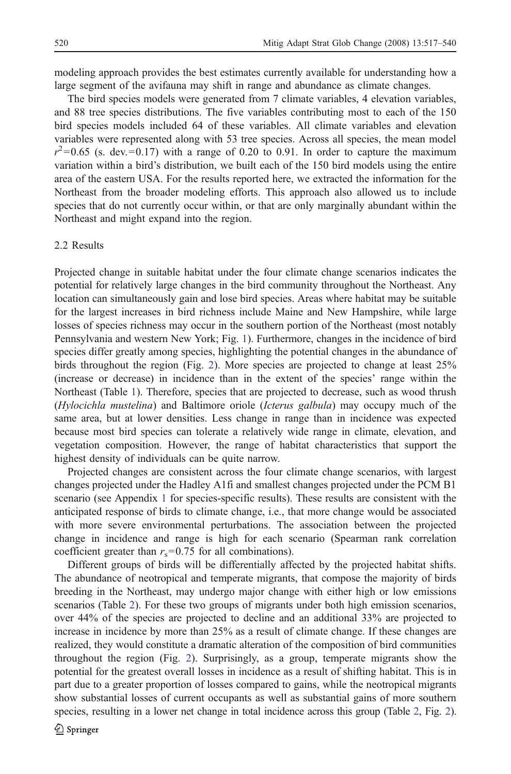modeling approach provides the best estimates currently available for understanding how a large segment of the avifauna may shift in range and abundance as climate changes.

The bird species models were generated from 7 climate variables, 4 elevation variables, and 88 tree species distributions. The five variables contributing most to each of the 150 bird species models included 64 of these variables. All climate variables and elevation variables were represented along with 53 tree species. Across all species, the mean model  $r^2$ =0.65 (s. dev.=0.17) with a range of 0.20 to 0.91. In order to capture the maximum variation within a bird's distribution, we built each of the 150 bird models using the entire area of the eastern USA. For the results reported here, we extracted the information for the Northeast from the broader modeling efforts. This approach also allowed us to include species that do not currently occur within, or that are only marginally abundant within the Northeast and might expand into the region.

#### 2.2 Results

Projected change in suitable habitat under the four climate change scenarios indicates the potential for relatively large changes in the bird community throughout the Northeast. Any location can simultaneously gain and lose bird species. Areas where habitat may be suitable for the largest increases in bird richness include Maine and New Hampshire, while large losses of species richness may occur in the southern portion of the Northeast (most notably Pennsylvania and western New York; Fig. [1\)](#page-4-0). Furthermore, changes in the incidence of bird species differ greatly among species, highlighting the potential changes in the abundance of birds throughout the region (Fig. [2](#page-5-0)). More species are projected to change at least 25% (increase or decrease) in incidence than in the extent of the species' range within the Northeast (Table [1](#page-5-0)). Therefore, species that are projected to decrease, such as wood thrush (Hylocichla mustelina) and Baltimore oriole (Icterus galbula) may occupy much of the same area, but at lower densities. Less change in range than in incidence was expected because most bird species can tolerate a relatively wide range in climate, elevation, and vegetation composition. However, the range of habitat characteristics that support the highest density of individuals can be quite narrow.

Projected changes are consistent across the four climate change scenarios, with largest changes projected under the Hadley A1fi and smallest changes projected under the PCM B1 scenario (see Appendix [1](#page-15-0) for species-specific results). These results are consistent with the anticipated response of birds to climate change, i.e., that more change would be associated with more severe environmental perturbations. The association between the projected change in incidence and range is high for each scenario (Spearman rank correlation coefficient greater than  $r_s$ =0.75 for all combinations).

Different groups of birds will be differentially affected by the projected habitat shifts. The abundance of neotropical and temperate migrants, that compose the majority of birds breeding in the Northeast, may undergo major change with either high or low emissions scenarios (Table [2](#page-7-0)). For these two groups of migrants under both high emission scenarios, over 44% of the species are projected to decline and an additional 33% are projected to increase in incidence by more than 25% as a result of climate change. If these changes are realized, they would constitute a dramatic alteration of the composition of bird communities throughout the region (Fig. [2\)](#page-5-0). Surprisingly, as a group, temperate migrants show the potential for the greatest overall losses in incidence as a result of shifting habitat. This is in part due to a greater proportion of losses compared to gains, while the neotropical migrants show substantial losses of current occupants as well as substantial gains of more southern species, resulting in a lower net change in total incidence across this group (Table [2](#page-7-0), Fig. [2\)](#page-5-0).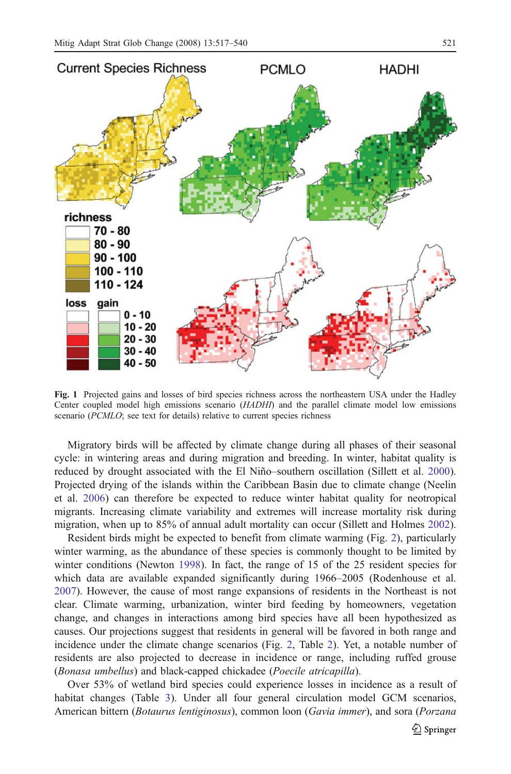<span id="page-4-0"></span>

Fig. 1 Projected gains and losses of bird species richness across the northeastern USA under the Hadley Center coupled model high emissions scenario (HADHI) and the parallel climate model low emissions scenario (PCMLO; see text for details) relative to current species richness

Migratory birds will be affected by climate change during all phases of their seasonal cycle: in wintering areas and during migration and breeding. In winter, habitat quality is reduced by drought associated with the El Niño–southern oscillation (Sillett et al. [2000](#page-23-0)). Projected drying of the islands within the Caribbean Basin due to climate change (Neelin et al. [2006\)](#page-22-0) can therefore be expected to reduce winter habitat quality for neotropical migrants. Increasing climate variability and extremes will increase mortality risk during migration, when up to 85% of annual adult mortality can occur (Sillett and Holmes [2002](#page-23-0)).

Resident birds might be expected to benefit from climate warming (Fig. [2](#page-5-0)), particularly winter warming, as the abundance of these species is commonly thought to be limited by winter conditions (Newton [1998\)](#page-22-0). In fact, the range of 15 of the 25 resident species for which data are available expanded significantly during 1966–2005 (Rodenhouse et al. [2007\)](#page-22-0). However, the cause of most range expansions of residents in the Northeast is not clear. Climate warming, urbanization, winter bird feeding by homeowners, vegetation change, and changes in interactions among bird species have all been hypothesized as causes. Our projections suggest that residents in general will be favored in both range and incidence under the climate change scenarios (Fig. [2,](#page-5-0) Table [2](#page-7-0)). Yet, a notable number of residents are also projected to decrease in incidence or range, including ruffed grouse (Bonasa umbellus) and black-capped chickadee (Poecile atricapilla).

Over 53% of wetland bird species could experience losses in incidence as a result of habitat changes (Table [3\)](#page-7-0). Under all four general circulation model GCM scenarios, American bittern (Botaurus lentiginosus), common loon (Gavia immer), and sora (Porzana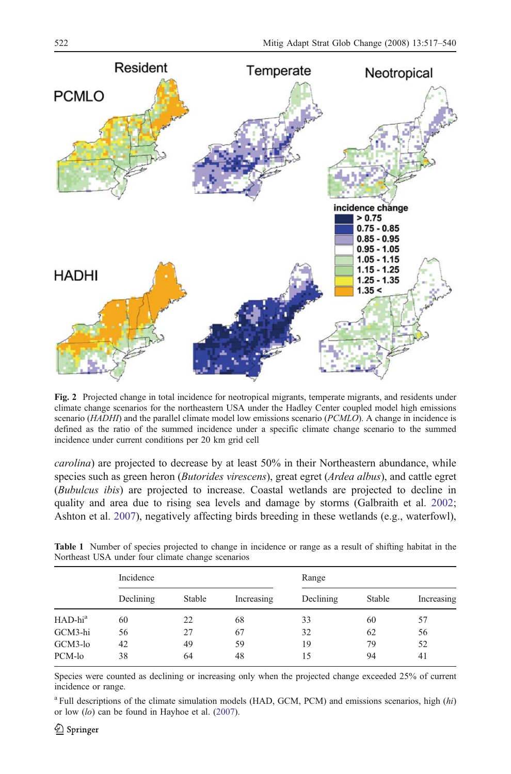<span id="page-5-0"></span>

Fig. 2 Projected change in total incidence for neotropical migrants, temperate migrants, and residents under climate change scenarios for the northeastern USA under the Hadley Center coupled model high emissions scenario (HADHI) and the parallel climate model low emissions scenario (PCMLO). A change in incidence is defined as the ratio of the summed incidence under a specific climate change scenario to the summed incidence under current conditions per 20 km grid cell

carolina) are projected to decrease by at least 50% in their Northeastern abundance, while species such as green heron (Butorides virescens), great egret (Ardea albus), and cattle egret (Bubulcus ibis) are projected to increase. Coastal wetlands are projected to decline in quality and area due to rising sea levels and damage by storms (Galbraith et al. [2002](#page-21-0); Ashton et al. [2007\)](#page-21-0), negatively affecting birds breeding in these wetlands (e.g., waterfowl),

|            | Incidence |        |            | Range     |        |            |
|------------|-----------|--------|------------|-----------|--------|------------|
|            | Declining | Stable | Increasing | Declining | Stable | Increasing |
| $HAD-hia$  | 60        | 22     | 68         | 33        | 60     | 57         |
| GCM3-hi    | 56        | 27     | 67         | 32        | 62     | 56         |
| $GCM3$ -lo | 42        | 49     | 59         | 19        | 79     | 52         |
| PCM-lo     | 38        | 64     | 48         | 15        | 94     | 41         |

Table 1 Number of species projected to change in incidence or range as a result of shifting habitat in the Northeast USA under four climate change scenarios

Species were counted as declining or increasing only when the projected change exceeded 25% of current incidence or range.

 $a$  Full descriptions of the climate simulation models (HAD, GCM, PCM) and emissions scenarios, high  $(hi)$ or low (lo) can be found in Hayhoe et al. [\(2007\)](#page-21-0).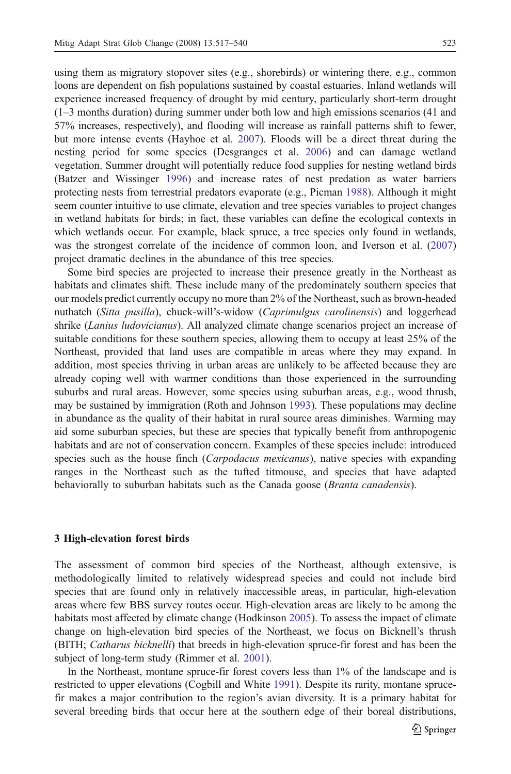using them as migratory stopover sites (e.g., shorebirds) or wintering there, e.g., common loons are dependent on fish populations sustained by coastal estuaries. Inland wetlands will experience increased frequency of drought by mid century, particularly short-term drought (1–3 months duration) during summer under both low and high emissions scenarios (41 and 57% increases, respectively), and flooding will increase as rainfall patterns shift to fewer, but more intense events (Hayhoe et al. [2007\)](#page-21-0). Floods will be a direct threat during the nesting period for some species (Desgranges et al. [2006\)](#page-21-0) and can damage wetland vegetation. Summer drought will potentially reduce food supplies for nesting wetland birds (Batzer and Wissinger [1996](#page-21-0)) and increase rates of nest predation as water barriers protecting nests from terrestrial predators evaporate (e.g., Picman [1988](#page-22-0)). Although it might seem counter intuitive to use climate, elevation and tree species variables to project changes in wetland habitats for birds; in fact, these variables can define the ecological contexts in which wetlands occur. For example, black spruce, a tree species only found in wetlands, was the strongest correlate of the incidence of common loon, and Iverson et al. ([2007\)](#page-21-0) project dramatic declines in the abundance of this tree species.

Some bird species are projected to increase their presence greatly in the Northeast as habitats and climates shift. These include many of the predominately southern species that our models predict currently occupy no more than 2% of the Northeast, such as brown-headed nuthatch (Sitta pusilla), chuck-will's-widow (Caprimulgus carolinensis) and loggerhead shrike (*Lanius ludovicianus*). All analyzed climate change scenarios project an increase of suitable conditions for these southern species, allowing them to occupy at least 25% of the Northeast, provided that land uses are compatible in areas where they may expand. In addition, most species thriving in urban areas are unlikely to be affected because they are already coping well with warmer conditions than those experienced in the surrounding suburbs and rural areas. However, some species using suburban areas, e.g., wood thrush, may be sustained by immigration (Roth and Johnson [1993\)](#page-22-0). These populations may decline in abundance as the quality of their habitat in rural source areas diminishes. Warming may aid some suburban species, but these are species that typically benefit from anthropogenic habitats and are not of conservation concern. Examples of these species include: introduced species such as the house finch *(Carpodacus mexicanus)*, native species with expanding ranges in the Northeast such as the tufted titmouse, and species that have adapted behaviorally to suburban habitats such as the Canada goose (Branta canadensis).

#### 3 High-elevation forest birds

The assessment of common bird species of the Northeast, although extensive, is methodologically limited to relatively widespread species and could not include bird species that are found only in relatively inaccessible areas, in particular, high-elevation areas where few BBS survey routes occur. High-elevation areas are likely to be among the habitats most affected by climate change (Hodkinson [2005\)](#page-21-0). To assess the impact of climate change on high-elevation bird species of the Northeast, we focus on Bicknell's thrush (BITH; *Catharus bicknelli*) that breeds in high-elevation spruce-fir forest and has been the subject of long-term study (Rimmer et al. [2001\)](#page-22-0).

In the Northeast, montane spruce-fir forest covers less than 1% of the landscape and is restricted to upper elevations (Cogbill and White [1991](#page-21-0)). Despite its rarity, montane sprucefir makes a major contribution to the region's avian diversity. It is a primary habitat for several breeding birds that occur here at the southern edge of their boreal distributions,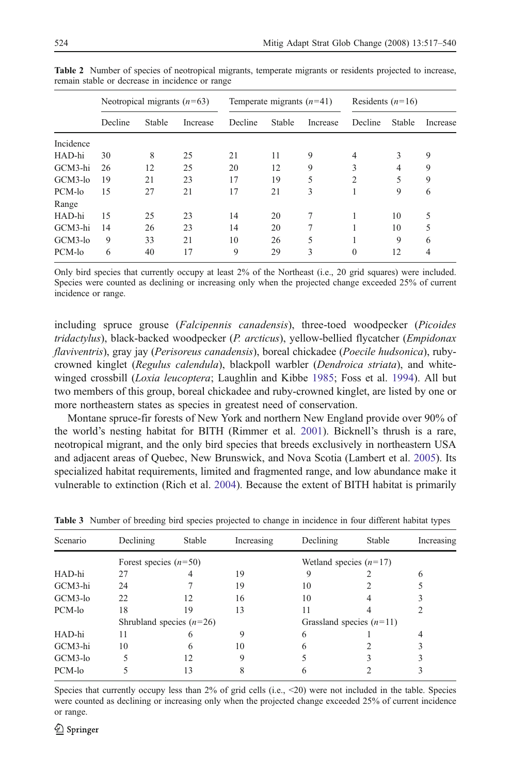|           |         | Neotropical migrants $(n=63)$ |          |         | Temperate migrants $(n=41)$ |          | Residents $(n=16)$ |               |          |
|-----------|---------|-------------------------------|----------|---------|-----------------------------|----------|--------------------|---------------|----------|
|           | Decline | Stable                        | Increase | Decline | <b>Stable</b>               | Increase | Decline            | <b>Stable</b> | Increase |
| Incidence |         |                               |          |         |                             |          |                    |               |          |
| HAD-hi    | 30      | 8                             | 25       | 21      | 11                          | 9        | 4                  | 3             | 9        |
| GCM3-hi   | 26      | 12                            | 25       | 20      | 12                          | 9        | 3                  | 4             | 9        |
| GCM3-lo   | 19      | 21                            | 23       | 17      | 19                          | 5        | 2                  | 5             | 9        |
| PCM-lo    | 15      | 27                            | 21       | 17      | 21                          | 3        |                    | 9             | 6        |
| Range     |         |                               |          |         |                             |          |                    |               |          |
| HAD-hi    | 15      | 25                            | 23       | 14      | 20                          |          |                    | 10            | 5        |
| GCM3-hi   | 14      | 26                            | 23       | 14      | 20                          | 7        |                    | 10            | 5        |
| GCM3-lo   | 9       | 33                            | 21       | 10      | 26                          | 5        |                    | 9             | 6        |
| PCM-lo    | 6       | 40                            | 17       | 9       | 29                          | 3        | $\Omega$           | 12            | 4        |

<span id="page-7-0"></span>Table 2 Number of species of neotropical migrants, temperate migrants or residents projected to increase, remain stable or decrease in incidence or range

Only bird species that currently occupy at least 2% of the Northeast (i.e., 20 grid squares) were included. Species were counted as declining or increasing only when the projected change exceeded 25% of current incidence or range.

including spruce grouse (Falcipennis canadensis), three-toed woodpecker (Picoides tridactylus), black-backed woodpecker (P. arcticus), yellow-bellied flycatcher (Empidonax flaviventris), gray jay (Perisoreus canadensis), boreal chickadee (Poecile hudsonica), rubycrowned kinglet (Regulus calendula), blackpoll warbler (Dendroica striata), and whitewinged crossbill (*Loxia leucoptera*; Laughlin and Kibbe [1985](#page-22-0); Foss et al. [1994](#page-21-0)). All but two members of this group, boreal chickadee and ruby-crowned kinglet, are listed by one or more northeastern states as species in greatest need of conservation.

Montane spruce-fir forests of New York and northern New England provide over 90% of the world's nesting habitat for BITH (Rimmer et al. [2001\)](#page-22-0). Bicknell's thrush is a rare, neotropical migrant, and the only bird species that breeds exclusively in northeastern USA and adjacent areas of Quebec, New Brunswick, and Nova Scotia (Lambert et al. [2005\)](#page-22-0). Its specialized habitat requirements, limited and fragmented range, and low abundance make it vulnerable to extinction (Rich et al. [2004](#page-22-0)). Because the extent of BITH habitat is primarily

| Scenario   | Declining                  | Stable | Increasing | Declining                  | Stable | Increasing |
|------------|----------------------------|--------|------------|----------------------------|--------|------------|
|            | Forest species $(n=50)$    |        |            | Wetland species $(n=17)$   |        |            |
| HAD-hi     | 27                         |        | 19         |                            |        | 6          |
| GCM3-hi    | 24                         |        | 19         | 10                         |        |            |
| $GCM3$ -lo | 22                         | 12     | 16         | 10                         |        |            |
| $PCM$ -lo  | 18                         | 19     | 13         | 11                         |        |            |
|            | Shrubland species $(n=26)$ |        |            | Grassland species $(n=11)$ |        |            |
| HAD-hi     | 11                         |        | 9          | 6                          |        |            |
| GCM3-hi    | 10                         |        | 10         | 6                          |        |            |
| GCM3-lo    |                            | 12     |            |                            |        |            |
| PCM-lo     |                            | 13     |            | 6                          |        |            |
|            |                            |        |            |                            |        |            |

Table 3 Number of breeding bird species projected to change in incidence in four different habitat types

Species that currently occupy less than 2% of grid cells (i.e., <20) were not included in the table. Species were counted as declining or increasing only when the projected change exceeded 25% of current incidence or range.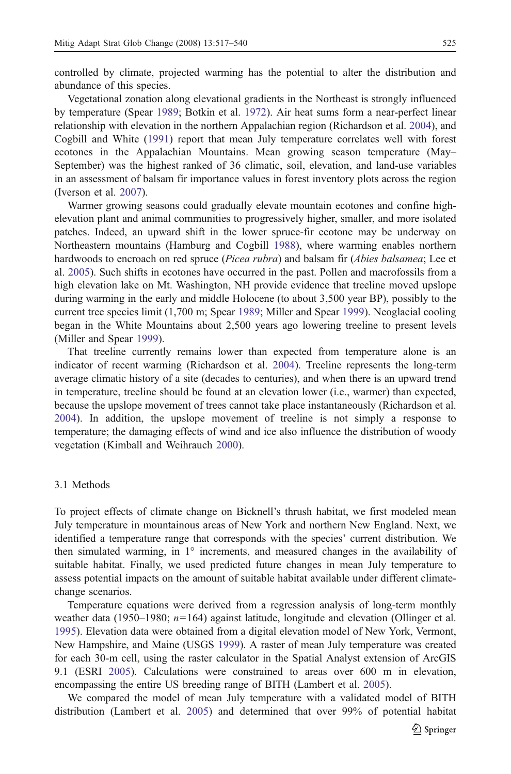controlled by climate, projected warming has the potential to alter the distribution and abundance of this species.

Vegetational zonation along elevational gradients in the Northeast is strongly influenced by temperature (Spear [1989;](#page-23-0) Botkin et al. [1972](#page-21-0)). Air heat sums form a near-perfect linear relationship with elevation in the northern Appalachian region (Richardson et al. [2004](#page-22-0)), and Cogbill and White ([1991\)](#page-21-0) report that mean July temperature correlates well with forest ecotones in the Appalachian Mountains. Mean growing season temperature (May– September) was the highest ranked of 36 climatic, soil, elevation, and land-use variables in an assessment of balsam fir importance values in forest inventory plots across the region (Iverson et al. [2007\)](#page-21-0).

Warmer growing seasons could gradually elevate mountain ecotones and confine highelevation plant and animal communities to progressively higher, smaller, and more isolated patches. Indeed, an upward shift in the lower spruce-fir ecotone may be underway on Northeastern mountains (Hamburg and Cogbill [1988](#page-21-0)), where warming enables northern hardwoods to encroach on red spruce (Picea rubra) and balsam fir (Abies balsamea; Lee et al. [2005](#page-22-0)). Such shifts in ecotones have occurred in the past. Pollen and macrofossils from a high elevation lake on Mt. Washington, NH provide evidence that treeline moved upslope during warming in the early and middle Holocene (to about 3,500 year BP), possibly to the current tree species limit (1,700 m; Spear [1989;](#page-23-0) Miller and Spear [1999](#page-22-0)). Neoglacial cooling began in the White Mountains about 2,500 years ago lowering treeline to present levels (Miller and Spear [1999](#page-22-0)).

That treeline currently remains lower than expected from temperature alone is an indicator of recent warming (Richardson et al. [2004\)](#page-22-0). Treeline represents the long-term average climatic history of a site (decades to centuries), and when there is an upward trend in temperature, treeline should be found at an elevation lower (i.e., warmer) than expected, because the upslope movement of trees cannot take place instantaneously (Richardson et al. [2004\)](#page-22-0). In addition, the upslope movement of treeline is not simply a response to temperature; the damaging effects of wind and ice also influence the distribution of woody vegetation (Kimball and Weihrauch [2000\)](#page-21-0).

### 3.1 Methods

To project effects of climate change on Bicknell's thrush habitat, we first modeled mean July temperature in mountainous areas of New York and northern New England. Next, we identified a temperature range that corresponds with the species' current distribution. We then simulated warming, in 1° increments, and measured changes in the availability of suitable habitat. Finally, we used predicted future changes in mean July temperature to assess potential impacts on the amount of suitable habitat available under different climatechange scenarios.

Temperature equations were derived from a regression analysis of long-term monthly weather data (1950–1980; n=164) against latitude, longitude and elevation (Ollinger et al. [1995\)](#page-22-0). Elevation data were obtained from a digital elevation model of New York, Vermont, New Hampshire, and Maine (USGS [1999](#page-23-0)). A raster of mean July temperature was created for each 30-m cell, using the raster calculator in the Spatial Analyst extension of ArcGIS 9.1 (ESRI [2005](#page-21-0)). Calculations were constrained to areas over 600 m in elevation, encompassing the entire US breeding range of BITH (Lambert et al. [2005\)](#page-22-0).

We compared the model of mean July temperature with a validated model of BITH distribution (Lambert et al. [2005\)](#page-22-0) and determined that over 99% of potential habitat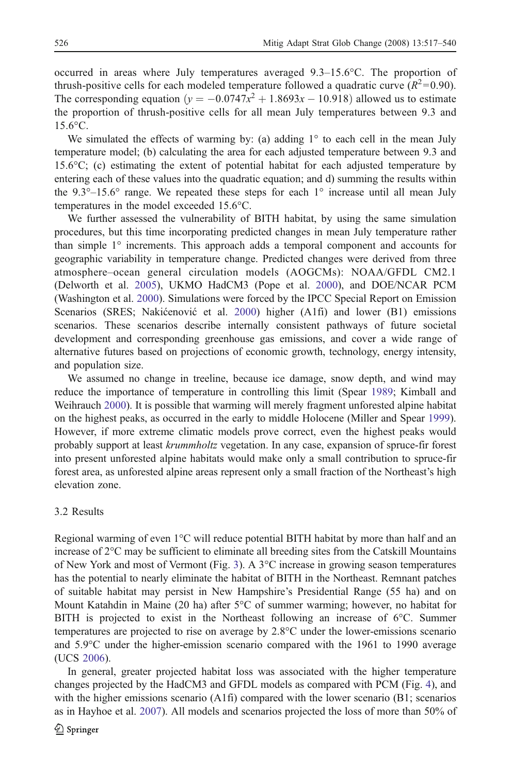occurred in areas where July temperatures averaged 9.3–15.6°C. The proportion of thrush-positive cells for each modeled temperature followed a quadratic curve  $(R^2=0.90)$ . The corresponding equation  $(y = -0.0747x^2 + 1.8693x - 10.918)$  allowed us to estimate the proportion of thrush-positive cells for all mean July temperatures between 9.3 and 15.6°C.

We simulated the effects of warming by: (a) adding  $1^\circ$  to each cell in the mean July temperature model; (b) calculating the area for each adjusted temperature between 9.3 and 15.6°C; (c) estimating the extent of potential habitat for each adjusted temperature by entering each of these values into the quadratic equation; and d) summing the results within the  $9.3^{\circ}-15.6^{\circ}$  range. We repeated these steps for each  $1^{\circ}$  increase until all mean July temperatures in the model exceeded 15.6°C.

We further assessed the vulnerability of BITH habitat, by using the same simulation procedures, but this time incorporating predicted changes in mean July temperature rather than simple 1° increments. This approach adds a temporal component and accounts for geographic variability in temperature change. Predicted changes were derived from three atmosphere–ocean general circulation models (AOGCMs): NOAA/GFDL CM2.1 (Delworth et al. [2005\)](#page-21-0), UKMO HadCM3 (Pope et al. [2000\)](#page-22-0), and DOE/NCAR PCM (Washington et al. [2000\)](#page-23-0). Simulations were forced by the IPCC Special Report on Emission Scenarios (SRES; Nakićenović et al. [2000\)](#page-22-0) higher (A1fi) and lower (B1) emissions scenarios. These scenarios describe internally consistent pathways of future societal development and corresponding greenhouse gas emissions, and cover a wide range of alternative futures based on projections of economic growth, technology, energy intensity, and population size.

We assumed no change in treeline, because ice damage, snow depth, and wind may reduce the importance of temperature in controlling this limit (Spear [1989](#page-23-0); Kimball and Weihrauch [2000\)](#page-21-0). It is possible that warming will merely fragment unforested alpine habitat on the highest peaks, as occurred in the early to middle Holocene (Miller and Spear [1999](#page-22-0)). However, if more extreme climatic models prove correct, even the highest peaks would probably support at least krummholtz vegetation. In any case, expansion of spruce-fir forest into present unforested alpine habitats would make only a small contribution to spruce-fir forest area, as unforested alpine areas represent only a small fraction of the Northeast's high elevation zone.

#### 3.2 Results

Regional warming of even 1°C will reduce potential BITH habitat by more than half and an increase of 2°C may be sufficient to eliminate all breeding sites from the Catskill Mountains of New York and most of Vermont (Fig. [3\)](#page-10-0). A 3°C increase in growing season temperatures has the potential to nearly eliminate the habitat of BITH in the Northeast. Remnant patches of suitable habitat may persist in New Hampshire's Presidential Range (55 ha) and on Mount Katahdin in Maine (20 ha) after 5°C of summer warming; however, no habitat for BITH is projected to exist in the Northeast following an increase of 6°C. Summer temperatures are projected to rise on average by 2.8°C under the lower-emissions scenario and 5.9°C under the higher-emission scenario compared with the 1961 to 1990 average (UCS [2006](#page-23-0)).

In general, greater projected habitat loss was associated with the higher temperature changes projected by the HadCM3 and GFDL models as compared with PCM (Fig. [4\)](#page-10-0), and with the higher emissions scenario (A1fi) compared with the lower scenario (B1; scenarios as in Hayhoe et al. [2007](#page-21-0)). All models and scenarios projected the loss of more than 50% of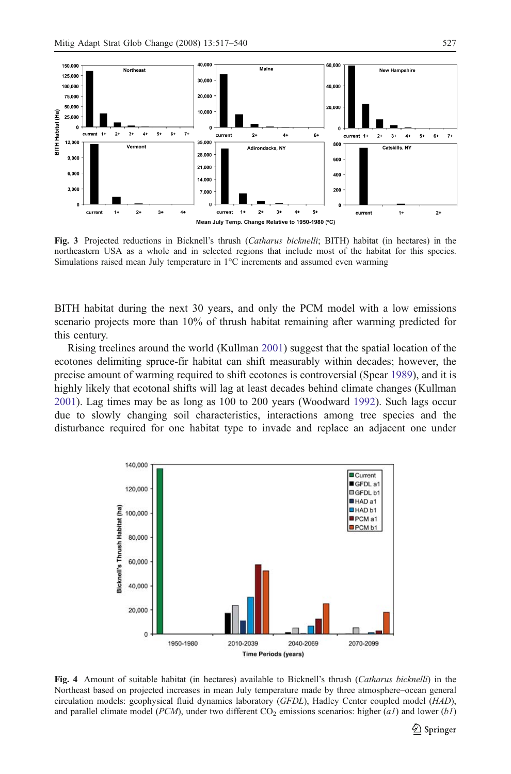<span id="page-10-0"></span>

Fig. 3 Projected reductions in Bicknell's thrush (Catharus bicknelli; BITH) habitat (in hectares) in the northeastern USA as a whole and in selected regions that include most of the habitat for this species. Simulations raised mean July temperature in 1°C increments and assumed even warming

BITH habitat during the next 30 years, and only the PCM model with a low emissions scenario projects more than 10% of thrush habitat remaining after warming predicted for this century.

Rising treelines around the world (Kullman [2001](#page-22-0)) suggest that the spatial location of the ecotones delimiting spruce-fir habitat can shift measurably within decades; however, the precise amount of warming required to shift ecotones is controversial (Spear [1989](#page-23-0)), and it is highly likely that ecotonal shifts will lag at least decades behind climate changes (Kullman [2001\)](#page-22-0). Lag times may be as long as 100 to 200 years (Woodward [1992\)](#page-23-0). Such lags occur due to slowly changing soil characteristics, interactions among tree species and the disturbance required for one habitat type to invade and replace an adjacent one under



Fig. 4 Amount of suitable habitat (in hectares) available to Bicknell's thrush (Catharus bicknelli) in the Northeast based on projected increases in mean July temperature made by three atmosphere–ocean general circulation models: geophysical fluid dynamics laboratory (GFDL), Hadley Center coupled model (HAD), and parallel climate model (PCM), under two different  $CO<sub>2</sub>$  emissions scenarios: higher (a1) and lower (b1)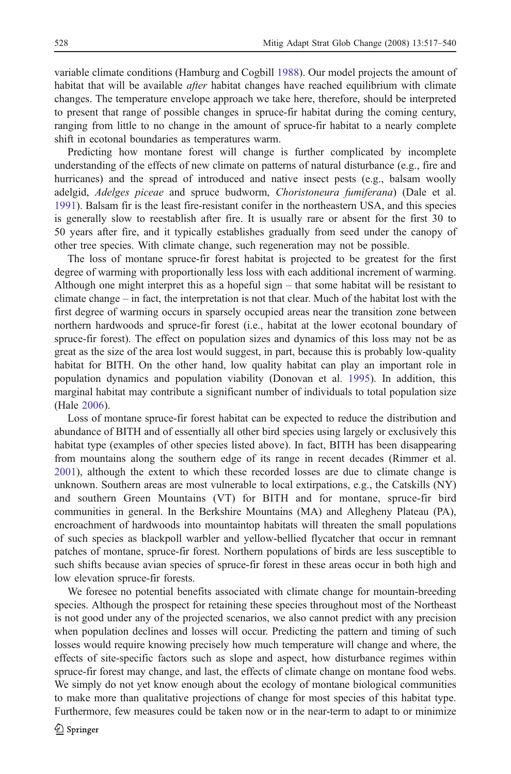variable climate conditions (Hamburg and Cogbill [1988](#page-21-0)). Our model projects the amount of habitat that will be available *after* habitat changes have reached equilibrium with climate changes. The temperature envelope approach we take here, therefore, should be interpreted to present that range of possible changes in spruce-fir habitat during the coming century, ranging from little to no change in the amount of spruce-fir habitat to a nearly complete shift in ecotonal boundaries as temperatures warm.

Predicting how montane forest will change is further complicated by incomplete understanding of the effects of new climate on patterns of natural disturbance (e.g., fire and hurricanes) and the spread of introduced and native insect pests (e.g., balsam woolly adelgid, Adelges piceae and spruce budworm, Choristoneura fumiferana) (Dale et al. [1991\)](#page-21-0). Balsam fir is the least fire-resistant conifer in the northeastern USA, and this species is generally slow to reestablish after fire. It is usually rare or absent for the first 30 to 50 years after fire, and it typically establishes gradually from seed under the canopy of other tree species. With climate change, such regeneration may not be possible.

The loss of montane spruce-fir forest habitat is projected to be greatest for the first degree of warming with proportionally less loss with each additional increment of warming. Although one might interpret this as a hopeful sign – that some habitat will be resistant to climate change – in fact, the interpretation is not that clear. Much of the habitat lost with the first degree of warming occurs in sparsely occupied areas near the transition zone between northern hardwoods and spruce-fir forest (i.e., habitat at the lower ecotonal boundary of spruce-fir forest). The effect on population sizes and dynamics of this loss may not be as great as the size of the area lost would suggest, in part, because this is probably low-quality habitat for BITH. On the other hand, low quality habitat can play an important role in population dynamics and population viability (Donovan et al. [1995](#page-21-0)). In addition, this marginal habitat may contribute a significant number of individuals to total population size (Hale [2006\)](#page-21-0).

Loss of montane spruce-fir forest habitat can be expected to reduce the distribution and abundance of BITH and of essentially all other bird species using largely or exclusively this habitat type (examples of other species listed above). In fact, BITH has been disappearing from mountains along the southern edge of its range in recent decades (Rimmer et al. [2001\)](#page-22-0), although the extent to which these recorded losses are due to climate change is unknown. Southern areas are most vulnerable to local extirpations, e.g., the Catskills (NY) and southern Green Mountains (VT) for BITH and for montane, spruce-fir bird communities in general. In the Berkshire Mountains (MA) and Allegheny Plateau (PA), encroachment of hardwoods into mountaintop habitats will threaten the small populations of such species as blackpoll warbler and yellow-bellied flycatcher that occur in remnant patches of montane, spruce-fir forest. Northern populations of birds are less susceptible to such shifts because avian species of spruce-fir forest in these areas occur in both high and low elevation spruce-fir forests.

We foresee no potential benefits associated with climate change for mountain-breeding species. Although the prospect for retaining these species throughout most of the Northeast is not good under any of the projected scenarios, we also cannot predict with any precision when population declines and losses will occur. Predicting the pattern and timing of such losses would require knowing precisely how much temperature will change and where, the effects of site-specific factors such as slope and aspect, how disturbance regimes within spruce-fir forest may change, and last, the effects of climate change on montane food webs. We simply do not yet know enough about the ecology of montane biological communities to make more than qualitative projections of change for most species of this habitat type. Furthermore, few measures could be taken now or in the near-term to adapt to or minimize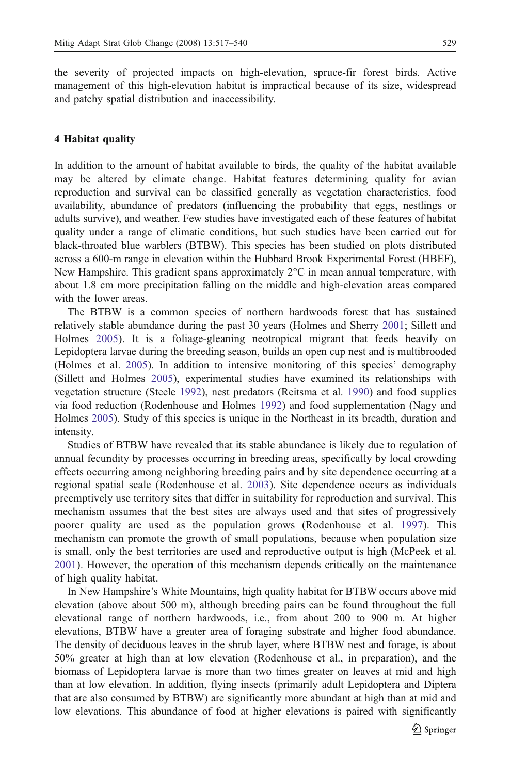the severity of projected impacts on high-elevation, spruce-fir forest birds. Active management of this high-elevation habitat is impractical because of its size, widespread and patchy spatial distribution and inaccessibility.

#### 4 Habitat quality

In addition to the amount of habitat available to birds, the quality of the habitat available may be altered by climate change. Habitat features determining quality for avian reproduction and survival can be classified generally as vegetation characteristics, food availability, abundance of predators (influencing the probability that eggs, nestlings or adults survive), and weather. Few studies have investigated each of these features of habitat quality under a range of climatic conditions, but such studies have been carried out for black-throated blue warblers (BTBW). This species has been studied on plots distributed across a 600-m range in elevation within the Hubbard Brook Experimental Forest (HBEF), New Hampshire. This gradient spans approximately  $2^{\circ}C$  in mean annual temperature, with about 1.8 cm more precipitation falling on the middle and high-elevation areas compared with the lower areas.

The BTBW is a common species of northern hardwoods forest that has sustained relatively stable abundance during the past 30 years (Holmes and Sherry [2001](#page-21-0); Sillett and Holmes [2005\)](#page-23-0). It is a foliage-gleaning neotropical migrant that feeds heavily on Lepidoptera larvae during the breeding season, builds an open cup nest and is multibrooded (Holmes et al. [2005](#page-21-0)). In addition to intensive monitoring of this species' demography (Sillett and Holmes [2005](#page-23-0)), experimental studies have examined its relationships with vegetation structure (Steele [1992](#page-23-0)), nest predators (Reitsma et al. [1990\)](#page-22-0) and food supplies via food reduction (Rodenhouse and Holmes [1992\)](#page-22-0) and food supplementation (Nagy and Holmes [2005\)](#page-22-0). Study of this species is unique in the Northeast in its breadth, duration and intensity.

Studies of BTBW have revealed that its stable abundance is likely due to regulation of annual fecundity by processes occurring in breeding areas, specifically by local crowding effects occurring among neighboring breeding pairs and by site dependence occurring at a regional spatial scale (Rodenhouse et al. [2003\)](#page-22-0). Site dependence occurs as individuals preemptively use territory sites that differ in suitability for reproduction and survival. This mechanism assumes that the best sites are always used and that sites of progressively poorer quality are used as the population grows (Rodenhouse et al. [1997](#page-22-0)). This mechanism can promote the growth of small populations, because when population size is small, only the best territories are used and reproductive output is high (McPeek et al. [2001](#page-22-0)). However, the operation of this mechanism depends critically on the maintenance of high quality habitat.

In New Hampshire's White Mountains, high quality habitat for BTBW occurs above mid elevation (above about 500 m), although breeding pairs can be found throughout the full elevational range of northern hardwoods, i.e., from about 200 to 900 m. At higher elevations, BTBW have a greater area of foraging substrate and higher food abundance. The density of deciduous leaves in the shrub layer, where BTBW nest and forage, is about 50% greater at high than at low elevation (Rodenhouse et al., in preparation), and the biomass of Lepidoptera larvae is more than two times greater on leaves at mid and high than at low elevation. In addition, flying insects (primarily adult Lepidoptera and Diptera that are also consumed by BTBW) are significantly more abundant at high than at mid and low elevations. This abundance of food at higher elevations is paired with significantly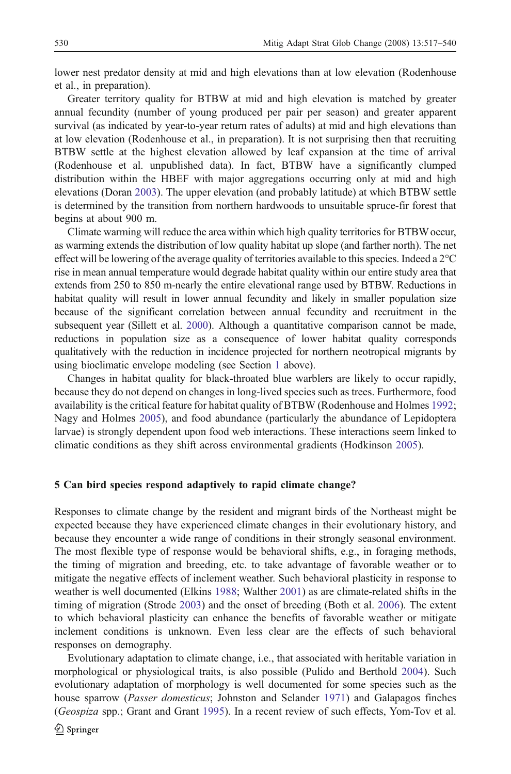lower nest predator density at mid and high elevations than at low elevation (Rodenhouse et al., in preparation).

Greater territory quality for BTBW at mid and high elevation is matched by greater annual fecundity (number of young produced per pair per season) and greater apparent survival (as indicated by year-to-year return rates of adults) at mid and high elevations than at low elevation (Rodenhouse et al., in preparation). It is not surprising then that recruiting BTBW settle at the highest elevation allowed by leaf expansion at the time of arrival (Rodenhouse et al. unpublished data). In fact, BTBW have a significantly clumped distribution within the HBEF with major aggregations occurring only at mid and high elevations (Doran [2003\)](#page-21-0). The upper elevation (and probably latitude) at which BTBW settle is determined by the transition from northern hardwoods to unsuitable spruce-fir forest that begins at about 900 m.

Climate warming will reduce the area within which high quality territories for BTBW occur, as warming extends the distribution of low quality habitat up slope (and farther north). The net effect will be lowering of the average quality of territories available to this species. Indeed a 2°C rise in mean annual temperature would degrade habitat quality within our entire study area that extends from 250 to 850 m-nearly the entire elevational range used by BTBW. Reductions in habitat quality will result in lower annual fecundity and likely in smaller population size because of the significant correlation between annual fecundity and recruitment in the subsequent year (Sillett et al. [2000\)](#page-23-0). Although a quantitative comparison cannot be made, reductions in population size as a consequence of lower habitat quality corresponds qualitatively with the reduction in incidence projected for northern neotropical migrants by using bioclimatic envelope modeling (see Section [1](#page-1-0) above).

Changes in habitat quality for black-throated blue warblers are likely to occur rapidly, because they do not depend on changes in long-lived species such as trees. Furthermore, food availability is the critical feature for habitat quality of BTBW (Rodenhouse and Holmes [1992](#page-22-0); Nagy and Holmes [2005\)](#page-22-0), and food abundance (particularly the abundance of Lepidoptera larvae) is strongly dependent upon food web interactions. These interactions seem linked to climatic conditions as they shift across environmental gradients (Hodkinson [2005\)](#page-21-0).

# 5 Can bird species respond adaptively to rapid climate change?

Responses to climate change by the resident and migrant birds of the Northeast might be expected because they have experienced climate changes in their evolutionary history, and because they encounter a wide range of conditions in their strongly seasonal environment. The most flexible type of response would be behavioral shifts, e.g., in foraging methods, the timing of migration and breeding, etc. to take advantage of favorable weather or to mitigate the negative effects of inclement weather. Such behavioral plasticity in response to weather is well documented (Elkins [1988;](#page-21-0) Walther [2001\)](#page-23-0) as are climate-related shifts in the timing of migration (Strode [2003](#page-23-0)) and the onset of breeding (Both et al. [2006\)](#page-21-0). The extent to which behavioral plasticity can enhance the benefits of favorable weather or mitigate inclement conditions is unknown. Even less clear are the effects of such behavioral responses on demography.

Evolutionary adaptation to climate change, i.e., that associated with heritable variation in morphological or physiological traits, is also possible (Pulido and Berthold [2004](#page-22-0)). Such evolutionary adaptation of morphology is well documented for some species such as the house sparrow (Passer domesticus; Johnston and Selander [1971\)](#page-21-0) and Galapagos finches (Geospiza spp.; Grant and Grant [1995](#page-21-0)). In a recent review of such effects, Yom-Tov et al.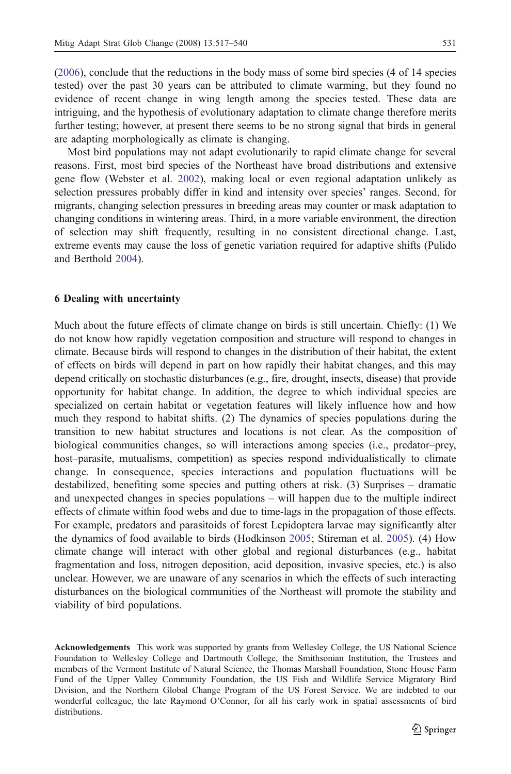([2006\)](#page-23-0), conclude that the reductions in the body mass of some bird species (4 of 14 species tested) over the past 30 years can be attributed to climate warming, but they found no evidence of recent change in wing length among the species tested. These data are intriguing, and the hypothesis of evolutionary adaptation to climate change therefore merits further testing; however, at present there seems to be no strong signal that birds in general are adapting morphologically as climate is changing.

Most bird populations may not adapt evolutionarily to rapid climate change for several reasons. First, most bird species of the Northeast have broad distributions and extensive gene flow (Webster et al. [2002\)](#page-23-0), making local or even regional adaptation unlikely as selection pressures probably differ in kind and intensity over species' ranges. Second, for migrants, changing selection pressures in breeding areas may counter or mask adaptation to changing conditions in wintering areas. Third, in a more variable environment, the direction of selection may shift frequently, resulting in no consistent directional change. Last, extreme events may cause the loss of genetic variation required for adaptive shifts (Pulido and Berthold [2004](#page-22-0)).

#### 6 Dealing with uncertainty

Much about the future effects of climate change on birds is still uncertain. Chiefly: (1) We do not know how rapidly vegetation composition and structure will respond to changes in climate. Because birds will respond to changes in the distribution of their habitat, the extent of effects on birds will depend in part on how rapidly their habitat changes, and this may depend critically on stochastic disturbances (e.g., fire, drought, insects, disease) that provide opportunity for habitat change. In addition, the degree to which individual species are specialized on certain habitat or vegetation features will likely influence how and how much they respond to habitat shifts. (2) The dynamics of species populations during the transition to new habitat structures and locations is not clear. As the composition of biological communities changes, so will interactions among species (i.e., predator–prey, host–parasite, mutualisms, competition) as species respond individualistically to climate change. In consequence, species interactions and population fluctuations will be destabilized, benefiting some species and putting others at risk. (3) Surprises – dramatic and unexpected changes in species populations – will happen due to the multiple indirect effects of climate within food webs and due to time-lags in the propagation of those effects. For example, predators and parasitoids of forest Lepidoptera larvae may significantly alter the dynamics of food available to birds (Hodkinson [2005;](#page-21-0) Stireman et al. [2005\)](#page-23-0). (4) How climate change will interact with other global and regional disturbances (e.g., habitat fragmentation and loss, nitrogen deposition, acid deposition, invasive species, etc.) is also unclear. However, we are unaware of any scenarios in which the effects of such interacting disturbances on the biological communities of the Northeast will promote the stability and viability of bird populations.

Acknowledgements This work was supported by grants from Wellesley College, the US National Science Foundation to Wellesley College and Dartmouth College, the Smithsonian Institution, the Trustees and members of the Vermont Institute of Natural Science, the Thomas Marshall Foundation, Stone House Farm Fund of the Upper Valley Community Foundation, the US Fish and Wildlife Service Migratory Bird Division, and the Northern Global Change Program of the US Forest Service. We are indebted to our wonderful colleague, the late Raymond O'Connor, for all his early work in spatial assessments of bird distributions.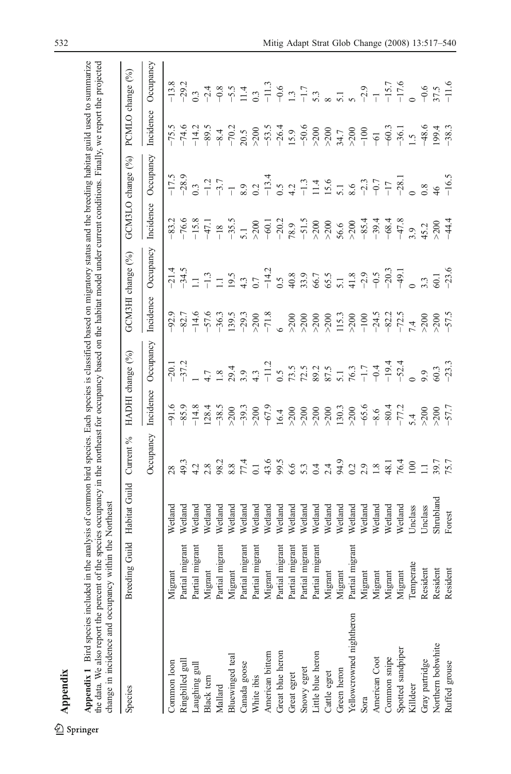Springer

<span id="page-15-0"></span>Appendix 1 Bird species included in the analysis of common bird species. Each species is classified based on migratory status and the breeding habitat guild used to summarize<br>the data. We also report the percent of the spe Appendix 1 Bird species included in the analysis of common bird species. Each species is classified based on migratory status and the breeding habitat guild used to summarize the data. We also report the percent of the species occupancy in the northeast for occupancy based on the habitat model under current conditions. Finally, we report the projected change in incidence and occupancy within the Northeast change in incidence and occupancy within the Northeast

| Species                          | Breeding Guild Habitat Guild                                |           | Current %          | HADHI change (%)                                                                                                                                                                                                                                                                                                                                                                                                                                                             |                                                                                                                                                                                                                               |           | GCM3HI change (%)      |                                                                                                                                                                                                                                                                | GCM3LO change (%) | PCMLO change (%)                         |                                                               |
|----------------------------------|-------------------------------------------------------------|-----------|--------------------|------------------------------------------------------------------------------------------------------------------------------------------------------------------------------------------------------------------------------------------------------------------------------------------------------------------------------------------------------------------------------------------------------------------------------------------------------------------------------|-------------------------------------------------------------------------------------------------------------------------------------------------------------------------------------------------------------------------------|-----------|------------------------|----------------------------------------------------------------------------------------------------------------------------------------------------------------------------------------------------------------------------------------------------------------|-------------------|------------------------------------------|---------------------------------------------------------------|
|                                  |                                                             |           | Occupancy          | Incidence                                                                                                                                                                                                                                                                                                                                                                                                                                                                    | Occupancy                                                                                                                                                                                                                     | Incidence | Occupancy              | Incidence                                                                                                                                                                                                                                                      | Occupancy         | Incidence                                | Occupancy                                                     |
| Common loon                      | Migrant                                                     | Wetland   |                    |                                                                                                                                                                                                                                                                                                                                                                                                                                                                              |                                                                                                                                                                                                                               | $-92.9$   |                        |                                                                                                                                                                                                                                                                |                   | $-75.5$                                  |                                                               |
| Ringbilled gull                  | Partial migrant                                             | Wetland   |                    |                                                                                                                                                                                                                                                                                                                                                                                                                                                                              | $-20.1$<br>$-37.2$                                                                                                                                                                                                            |           |                        |                                                                                                                                                                                                                                                                |                   |                                          |                                                               |
|                                  | Partial migrant                                             | Wetland   |                    | $-85.9$                                                                                                                                                                                                                                                                                                                                                                                                                                                                      | $\mathbb{R}^2$                                                                                                                                                                                                                |           |                        |                                                                                                                                                                                                                                                                |                   | $-74.6$<br>$-14.2$<br>$-89.5$<br>$-84.5$ |                                                               |
| Laughing gull<br>Black tern      | Migrant                                                     | Wetland   |                    |                                                                                                                                                                                                                                                                                                                                                                                                                                                                              |                                                                                                                                                                                                                               |           |                        |                                                                                                                                                                                                                                                                |                   |                                          |                                                               |
| Mallard                          | Partial migran <sup>®</sup>                                 | Wetland   |                    |                                                                                                                                                                                                                                                                                                                                                                                                                                                                              |                                                                                                                                                                                                                               |           |                        |                                                                                                                                                                                                                                                                |                   |                                          |                                                               |
| Bluewinged teal                  |                                                             | Wetland   |                    |                                                                                                                                                                                                                                                                                                                                                                                                                                                                              |                                                                                                                                                                                                                               |           |                        |                                                                                                                                                                                                                                                                |                   |                                          |                                                               |
| Canada goose                     | Migrant<br>Partial migrant                                  | Wetland   |                    |                                                                                                                                                                                                                                                                                                                                                                                                                                                                              |                                                                                                                                                                                                                               |           |                        |                                                                                                                                                                                                                                                                |                   | $-70.2$<br>20.5                          |                                                               |
| White ibis                       | Partial migrant                                             | Wetland   |                    |                                                                                                                                                                                                                                                                                                                                                                                                                                                                              |                                                                                                                                                                                                                               |           |                        |                                                                                                                                                                                                                                                                |                   | $>200$                                   |                                                               |
| American bittern                 |                                                             | Wetland   |                    |                                                                                                                                                                                                                                                                                                                                                                                                                                                                              |                                                                                                                                                                                                                               |           |                        |                                                                                                                                                                                                                                                                |                   |                                          |                                                               |
| Great blue heron                 | Migrant<br>Partial migrant                                  | Wetland   |                    |                                                                                                                                                                                                                                                                                                                                                                                                                                                                              |                                                                                                                                                                                                                               |           |                        |                                                                                                                                                                                                                                                                |                   |                                          |                                                               |
| Great egret                      | Partial migrant                                             | Wetland   |                    | $\mathop{\mathbb{Z}}\limits^{\mathbf{3}}_{\mathbf{7}}\mathop{\mathbb{Z}}\limits^{\mathbf{3}}_{\mathbf{8}}\mathop{\mathbb{Z}}\limits^{\mathbf{3}}_{\mathbf{9}}\mathop{\mathbb{Z}}\limits^{\mathbf{3}}_{\mathbf{9}}\mathop{\mathbb{Z}}\limits^{\mathbf{3}}_{\mathbf{9}}\mathop{\mathbb{Z}}\limits^{\mathbf{3}}_{\mathbf{9}}\mathop{\mathbb{Z}}\limits^{\mathbf{3}}_{\mathbf{9}}\mathop{\mathbb{Z}}\limits^{\mathbf{3}}_{\mathbf{9}}\mathop{\mathbb{Z}}\limits^{\mathbf{3}}_{\$ | $4.7$ $8.3$ $3.9$ $4.1$ $2.3$ $3.9$ $4.1$ $2.5$ $3.9$ $4.1$ $2.5$ $3.9$ $4.7$ $1.2$ $1.3$ $1.4$ $1.5$ $1.5$ $1.6$ $1.7$ $1.4$ $1.5$ $1.4$ $1.5$ $1.4$ $1.5$ $1.5$ $1.5$ $1.5$ $1.5$ $1.5$ $1.5$ $1.5$ $1.5$ $1.5$ $1.5$ $1.5$ |           |                        | $\begin{array}{l} 3.3668711\\ 8.426871\\ 7.1747\\ 7.1777\\ 7.1777\\ 7.1777\\ 7.1777\\ 7.17777\\ 7.17777\\ 7.17777\\ 7.17777\\ 7.17777\\ 7.17777\\ 7.17777\\ 7.17777\\ 7.17777\\ 7.17777\\ 7.17777\\ 7.17777\\ 7.17777\\ 7.17777\\ 7.17777\\ 7.17777\\ 7.17777$ |                   | $-53.5$<br>$-26.4$<br>$-50.6$            |                                                               |
|                                  | Partial migrant                                             | Wetland   |                    |                                                                                                                                                                                                                                                                                                                                                                                                                                                                              |                                                                                                                                                                                                                               |           |                        |                                                                                                                                                                                                                                                                |                   |                                          |                                                               |
| Snowy egret<br>Little blue heron | Partial migrant                                             | Wetland   |                    |                                                                                                                                                                                                                                                                                                                                                                                                                                                                              |                                                                                                                                                                                                                               |           |                        |                                                                                                                                                                                                                                                                |                   |                                          |                                                               |
| Cattle egret                     | Migrant                                                     | Wetland   |                    |                                                                                                                                                                                                                                                                                                                                                                                                                                                                              |                                                                                                                                                                                                                               |           |                        |                                                                                                                                                                                                                                                                |                   |                                          |                                                               |
| Green heron                      |                                                             | Wetland   |                    |                                                                                                                                                                                                                                                                                                                                                                                                                                                                              |                                                                                                                                                                                                                               |           |                        |                                                                                                                                                                                                                                                                |                   | $7200$ $73.7$ $7200$ $-61$               |                                                               |
| Yellowcrowned nightheron         |                                                             | Wetland   |                    |                                                                                                                                                                                                                                                                                                                                                                                                                                                                              |                                                                                                                                                                                                                               |           |                        |                                                                                                                                                                                                                                                                |                   |                                          |                                                               |
| Sora                             | Migrant<br>Partial migrant<br>Migrant<br>Migrant<br>Migrant | Wetland   |                    |                                                                                                                                                                                                                                                                                                                                                                                                                                                                              |                                                                                                                                                                                                                               |           |                        |                                                                                                                                                                                                                                                                |                   |                                          |                                                               |
| American Coot                    |                                                             | Wetland   |                    |                                                                                                                                                                                                                                                                                                                                                                                                                                                                              |                                                                                                                                                                                                                               |           |                        |                                                                                                                                                                                                                                                                |                   |                                          |                                                               |
| Common snipe                     |                                                             | Wetland   |                    |                                                                                                                                                                                                                                                                                                                                                                                                                                                                              |                                                                                                                                                                                                                               |           |                        |                                                                                                                                                                                                                                                                |                   | $-60.3$                                  | $-15.7$                                                       |
| Spotted sandpiper                | Migrant                                                     | Wetland   | 76.4               |                                                                                                                                                                                                                                                                                                                                                                                                                                                                              |                                                                                                                                                                                                                               |           |                        |                                                                                                                                                                                                                                                                |                   | $-36.1$<br>$1.5$<br>$-48.6$              |                                                               |
| Killdeer                         | Temperate                                                   | Unclass   | 100                |                                                                                                                                                                                                                                                                                                                                                                                                                                                                              | $\overline{a}$                                                                                                                                                                                                                |           |                        |                                                                                                                                                                                                                                                                | $\overline{a}$    |                                          |                                                               |
| Gray partridge                   | Resident                                                    | Unclass   |                    |                                                                                                                                                                                                                                                                                                                                                                                                                                                                              |                                                                                                                                                                                                                               |           |                        |                                                                                                                                                                                                                                                                |                   |                                          |                                                               |
| Northern bobwhite                | Resident                                                    | Shrubland | $\frac{1.1}{39.7}$ |                                                                                                                                                                                                                                                                                                                                                                                                                                                                              | $9.9$<br>60.3<br>-23.3                                                                                                                                                                                                        | 57.5      | $3.3$<br>60.1<br>-23.6 | $\frac{45.2}{200}$                                                                                                                                                                                                                                             | $0.8$<br>46.5     | 199.4                                    | $\frac{-17.6}{0}$<br>$\frac{-0.6}{37.5}$<br>$\frac{-11.6}{0}$ |
| Ruffed grouse                    | Resident                                                    | Forest    |                    |                                                                                                                                                                                                                                                                                                                                                                                                                                                                              |                                                                                                                                                                                                                               |           |                        |                                                                                                                                                                                                                                                                |                   | $-38.3$                                  |                                                               |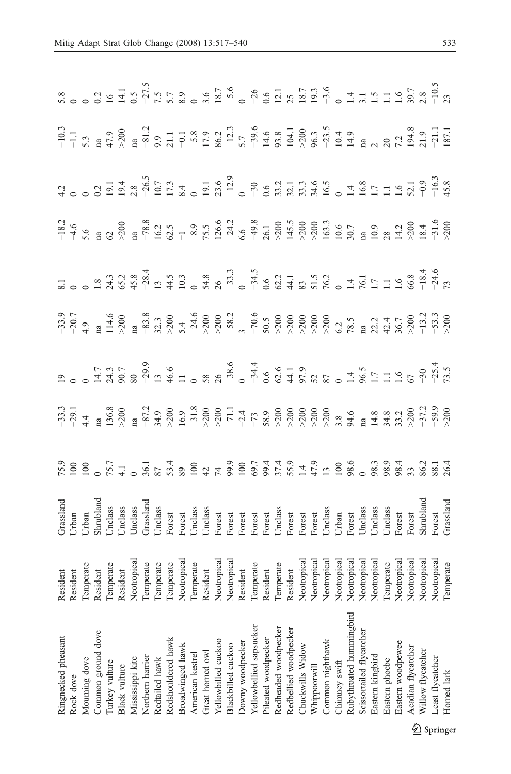| kingnecked pheasant       |                                                                                                                                                                                                                                                                                               | $\begin{tabular}{l} {\bf Grassland} \\ {\bf Unclass} \\ {\bf Unclass} \\ {\bf Unclass} \\ {\bf Unclass} \\ {\bf On class} \\ {\bf On class} \\ {\bf On class} \\ {\bf On class} \\ {\bf Forest} \\ {\bf Forest} \\ {\bf Forest} \\ {\bf Forest} \\ {\bf Forest} \\ {\bf Forest} \\ {\bf Forest} \\ {\bf Forest} \\ {\bf Forest} \\ {\bf Forest} \\ {\bf Forest} \\ {\bf Forest} \\ {\bf Forest} \\ {\bf Forest} \\ {\bf Forest} \\ {\bf Forest} \\ {\bf Forest} \\ {\bf Forest} \\ {\bf Forest} \\ {\bf Forest} \\ {\bf Forest} \\ {\bf Forest} \\ {\bf Forest} \\ {\bf Forest} \\ {\bf Forest} \\ {\bf Forest} \\ {\bf$ |  |                                                                                                                                                                                                                                                                                      |                                                                                                                                                                                                                                  |  |                                                                                                                                                                                                                                                                                                                                      |  |
|---------------------------|-----------------------------------------------------------------------------------------------------------------------------------------------------------------------------------------------------------------------------------------------------------------------------------------------|--------------------------------------------------------------------------------------------------------------------------------------------------------------------------------------------------------------------------------------------------------------------------------------------------------------------------------------------------------------------------------------------------------------------------------------------------------------------------------------------------------------------------------------------------------------------------------------------------------------------------|--|--------------------------------------------------------------------------------------------------------------------------------------------------------------------------------------------------------------------------------------------------------------------------------------|----------------------------------------------------------------------------------------------------------------------------------------------------------------------------------------------------------------------------------|--|--------------------------------------------------------------------------------------------------------------------------------------------------------------------------------------------------------------------------------------------------------------------------------------------------------------------------------------|--|
| Rock dove                 | Resident<br>Resident<br>Resident<br>Temperate<br>Resident<br>Resident<br>Temperate<br>Resident<br>Temperate<br>Perspective oppical<br>Temperate<br>Perspective oppical<br>Resident<br>Resident<br>Resident<br>Resident<br>Resident<br>Resident<br>Resident<br>Resident<br>Resident<br>Residen |                                                                                                                                                                                                                                                                                                                                                                                                                                                                                                                                                                                                                          |  | $\begin{array}{cccccccccccccc} 0.75 & 0.75 & 0.75 & 0.75 & 0.75 & 0.75 & 0.75 & 0.75 & 0.75 & 0.75 & 0.75 & 0.75 & 0.75 & 0.75 & 0.75 & 0.75 & 0.75 & 0.75 & 0.75 & 0.75 & 0.75 & 0.75 & 0.75 & 0.75 & 0.75 & 0.75 & 0.75 & 0.75 & 0.75 & 0.75 & 0.75 & 0.75 & 0.75 & 0.75 & 0.75 &$ | si o o ni di segunda di segunda di segunda di segunda di segunda di segunda di segunda di segunda di segunda d<br>Si o o ni di segunda di segunda di segunda di segunda di segunda di segunda di segunda di segunda di segunda d |  | $-1$ $-1$ $\ldots$ $\ldots$ $\ldots$ $\ldots$ $\ldots$ $\ldots$ $\ldots$ $\ldots$ $\ldots$ $\ldots$ $\ldots$ $\ldots$ $\ldots$ $\ldots$ $\ldots$ $\ldots$ $\ldots$ $\ldots$ $\ldots$ $\ldots$ $\ldots$ $\ldots$ $\ldots$ $\ldots$ $\ldots$ $\ldots$ $\ldots$ $\ldots$ $\ldots$ $\ldots$ $\ldots$ $\ldots$ $\ldots$ $\ldots$ $\ldots$ |  |
| Mourning dove             |                                                                                                                                                                                                                                                                                               |                                                                                                                                                                                                                                                                                                                                                                                                                                                                                                                                                                                                                          |  |                                                                                                                                                                                                                                                                                      |                                                                                                                                                                                                                                  |  |                                                                                                                                                                                                                                                                                                                                      |  |
| Common ground dove        |                                                                                                                                                                                                                                                                                               |                                                                                                                                                                                                                                                                                                                                                                                                                                                                                                                                                                                                                          |  |                                                                                                                                                                                                                                                                                      |                                                                                                                                                                                                                                  |  |                                                                                                                                                                                                                                                                                                                                      |  |
| Turkey vulture            |                                                                                                                                                                                                                                                                                               |                                                                                                                                                                                                                                                                                                                                                                                                                                                                                                                                                                                                                          |  |                                                                                                                                                                                                                                                                                      |                                                                                                                                                                                                                                  |  |                                                                                                                                                                                                                                                                                                                                      |  |
| Black vulture             |                                                                                                                                                                                                                                                                                               |                                                                                                                                                                                                                                                                                                                                                                                                                                                                                                                                                                                                                          |  |                                                                                                                                                                                                                                                                                      |                                                                                                                                                                                                                                  |  |                                                                                                                                                                                                                                                                                                                                      |  |
| Mississippi kite          |                                                                                                                                                                                                                                                                                               |                                                                                                                                                                                                                                                                                                                                                                                                                                                                                                                                                                                                                          |  |                                                                                                                                                                                                                                                                                      |                                                                                                                                                                                                                                  |  |                                                                                                                                                                                                                                                                                                                                      |  |
| Northern harrier          |                                                                                                                                                                                                                                                                                               |                                                                                                                                                                                                                                                                                                                                                                                                                                                                                                                                                                                                                          |  |                                                                                                                                                                                                                                                                                      |                                                                                                                                                                                                                                  |  |                                                                                                                                                                                                                                                                                                                                      |  |
| Redtailed hawk            |                                                                                                                                                                                                                                                                                               |                                                                                                                                                                                                                                                                                                                                                                                                                                                                                                                                                                                                                          |  |                                                                                                                                                                                                                                                                                      |                                                                                                                                                                                                                                  |  |                                                                                                                                                                                                                                                                                                                                      |  |
| Redshouldered hawk        |                                                                                                                                                                                                                                                                                               |                                                                                                                                                                                                                                                                                                                                                                                                                                                                                                                                                                                                                          |  |                                                                                                                                                                                                                                                                                      |                                                                                                                                                                                                                                  |  |                                                                                                                                                                                                                                                                                                                                      |  |
| Broadwinged hawk          |                                                                                                                                                                                                                                                                                               |                                                                                                                                                                                                                                                                                                                                                                                                                                                                                                                                                                                                                          |  |                                                                                                                                                                                                                                                                                      |                                                                                                                                                                                                                                  |  |                                                                                                                                                                                                                                                                                                                                      |  |
| American kestrel          |                                                                                                                                                                                                                                                                                               |                                                                                                                                                                                                                                                                                                                                                                                                                                                                                                                                                                                                                          |  |                                                                                                                                                                                                                                                                                      |                                                                                                                                                                                                                                  |  |                                                                                                                                                                                                                                                                                                                                      |  |
| Great horned owl          |                                                                                                                                                                                                                                                                                               |                                                                                                                                                                                                                                                                                                                                                                                                                                                                                                                                                                                                                          |  |                                                                                                                                                                                                                                                                                      |                                                                                                                                                                                                                                  |  |                                                                                                                                                                                                                                                                                                                                      |  |
| Yellowbilled cuckoo       |                                                                                                                                                                                                                                                                                               |                                                                                                                                                                                                                                                                                                                                                                                                                                                                                                                                                                                                                          |  |                                                                                                                                                                                                                                                                                      |                                                                                                                                                                                                                                  |  |                                                                                                                                                                                                                                                                                                                                      |  |
| <b>Blackbilled</b> cuckoo |                                                                                                                                                                                                                                                                                               |                                                                                                                                                                                                                                                                                                                                                                                                                                                                                                                                                                                                                          |  |                                                                                                                                                                                                                                                                                      |                                                                                                                                                                                                                                  |  |                                                                                                                                                                                                                                                                                                                                      |  |
| Downy woodpecker          |                                                                                                                                                                                                                                                                                               |                                                                                                                                                                                                                                                                                                                                                                                                                                                                                                                                                                                                                          |  |                                                                                                                                                                                                                                                                                      |                                                                                                                                                                                                                                  |  |                                                                                                                                                                                                                                                                                                                                      |  |
| Yellowbellied sapsucker   |                                                                                                                                                                                                                                                                                               |                                                                                                                                                                                                                                                                                                                                                                                                                                                                                                                                                                                                                          |  |                                                                                                                                                                                                                                                                                      |                                                                                                                                                                                                                                  |  |                                                                                                                                                                                                                                                                                                                                      |  |
| Pileated woodpecker       |                                                                                                                                                                                                                                                                                               |                                                                                                                                                                                                                                                                                                                                                                                                                                                                                                                                                                                                                          |  |                                                                                                                                                                                                                                                                                      |                                                                                                                                                                                                                                  |  |                                                                                                                                                                                                                                                                                                                                      |  |
| Redheaded woodpecker      |                                                                                                                                                                                                                                                                                               |                                                                                                                                                                                                                                                                                                                                                                                                                                                                                                                                                                                                                          |  |                                                                                                                                                                                                                                                                                      |                                                                                                                                                                                                                                  |  |                                                                                                                                                                                                                                                                                                                                      |  |
| Redbellied woodpecker     |                                                                                                                                                                                                                                                                                               |                                                                                                                                                                                                                                                                                                                                                                                                                                                                                                                                                                                                                          |  |                                                                                                                                                                                                                                                                                      |                                                                                                                                                                                                                                  |  |                                                                                                                                                                                                                                                                                                                                      |  |
| Chuckwills Widow          |                                                                                                                                                                                                                                                                                               |                                                                                                                                                                                                                                                                                                                                                                                                                                                                                                                                                                                                                          |  |                                                                                                                                                                                                                                                                                      |                                                                                                                                                                                                                                  |  |                                                                                                                                                                                                                                                                                                                                      |  |
| Whippoorwill              |                                                                                                                                                                                                                                                                                               |                                                                                                                                                                                                                                                                                                                                                                                                                                                                                                                                                                                                                          |  |                                                                                                                                                                                                                                                                                      |                                                                                                                                                                                                                                  |  |                                                                                                                                                                                                                                                                                                                                      |  |
| Common nighthawk          |                                                                                                                                                                                                                                                                                               |                                                                                                                                                                                                                                                                                                                                                                                                                                                                                                                                                                                                                          |  |                                                                                                                                                                                                                                                                                      |                                                                                                                                                                                                                                  |  |                                                                                                                                                                                                                                                                                                                                      |  |
| Chinney swift             |                                                                                                                                                                                                                                                                                               |                                                                                                                                                                                                                                                                                                                                                                                                                                                                                                                                                                                                                          |  |                                                                                                                                                                                                                                                                                      |                                                                                                                                                                                                                                  |  |                                                                                                                                                                                                                                                                                                                                      |  |
| Rubythroated hummingbird  |                                                                                                                                                                                                                                                                                               |                                                                                                                                                                                                                                                                                                                                                                                                                                                                                                                                                                                                                          |  |                                                                                                                                                                                                                                                                                      |                                                                                                                                                                                                                                  |  |                                                                                                                                                                                                                                                                                                                                      |  |
| Scissortailed flycatcher  |                                                                                                                                                                                                                                                                                               |                                                                                                                                                                                                                                                                                                                                                                                                                                                                                                                                                                                                                          |  |                                                                                                                                                                                                                                                                                      |                                                                                                                                                                                                                                  |  |                                                                                                                                                                                                                                                                                                                                      |  |
| Eastern kingbird          |                                                                                                                                                                                                                                                                                               |                                                                                                                                                                                                                                                                                                                                                                                                                                                                                                                                                                                                                          |  |                                                                                                                                                                                                                                                                                      |                                                                                                                                                                                                                                  |  |                                                                                                                                                                                                                                                                                                                                      |  |
| Eastern phoebe            |                                                                                                                                                                                                                                                                                               |                                                                                                                                                                                                                                                                                                                                                                                                                                                                                                                                                                                                                          |  |                                                                                                                                                                                                                                                                                      |                                                                                                                                                                                                                                  |  |                                                                                                                                                                                                                                                                                                                                      |  |
| Eastern woodpewee         |                                                                                                                                                                                                                                                                                               |                                                                                                                                                                                                                                                                                                                                                                                                                                                                                                                                                                                                                          |  |                                                                                                                                                                                                                                                                                      |                                                                                                                                                                                                                                  |  |                                                                                                                                                                                                                                                                                                                                      |  |
| Acadian flycatcher        |                                                                                                                                                                                                                                                                                               |                                                                                                                                                                                                                                                                                                                                                                                                                                                                                                                                                                                                                          |  |                                                                                                                                                                                                                                                                                      |                                                                                                                                                                                                                                  |  |                                                                                                                                                                                                                                                                                                                                      |  |
| Willow flycatcher         |                                                                                                                                                                                                                                                                                               |                                                                                                                                                                                                                                                                                                                                                                                                                                                                                                                                                                                                                          |  |                                                                                                                                                                                                                                                                                      |                                                                                                                                                                                                                                  |  |                                                                                                                                                                                                                                                                                                                                      |  |
| Least flycatcher          |                                                                                                                                                                                                                                                                                               |                                                                                                                                                                                                                                                                                                                                                                                                                                                                                                                                                                                                                          |  |                                                                                                                                                                                                                                                                                      |                                                                                                                                                                                                                                  |  |                                                                                                                                                                                                                                                                                                                                      |  |
| Horned lark               |                                                                                                                                                                                                                                                                                               | Grassland                                                                                                                                                                                                                                                                                                                                                                                                                                                                                                                                                                                                                |  |                                                                                                                                                                                                                                                                                      |                                                                                                                                                                                                                                  |  |                                                                                                                                                                                                                                                                                                                                      |  |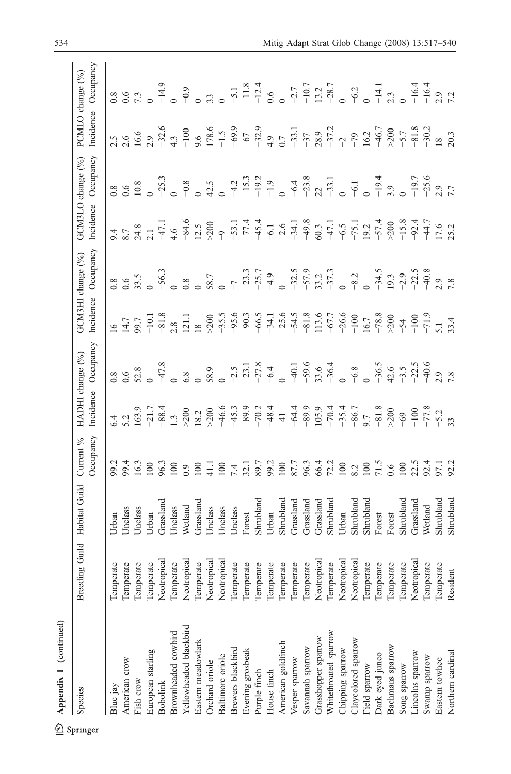| Species                |             | Breeding Guild Habitat Guild | Current $\%$                                      | HADHI change (%)                                                  |           |                                                                                                                                                                                                                                                                                                                     | GCM3HI change (%) |                | GCM3LO change (%) |                           | PCMLO change (%)                                                                                                                             |
|------------------------|-------------|------------------------------|---------------------------------------------------|-------------------------------------------------------------------|-----------|---------------------------------------------------------------------------------------------------------------------------------------------------------------------------------------------------------------------------------------------------------------------------------------------------------------------|-------------------|----------------|-------------------|---------------------------|----------------------------------------------------------------------------------------------------------------------------------------------|
|                        |             |                              | Occupancy                                         | Incidence                                                         | Occupancy | Incidence                                                                                                                                                                                                                                                                                                           | Occupancy         | Incidence      | Occupancy         | Incidence                 | Occupancy                                                                                                                                    |
| Blue jay               | Temperate   | Urban                        | 5.66                                              |                                                                   |           |                                                                                                                                                                                                                                                                                                                     |                   |                |                   |                           |                                                                                                                                              |
| American crow          | Temperate   | Unclass                      |                                                   |                                                                   |           |                                                                                                                                                                                                                                                                                                                     |                   |                | 0.8               |                           |                                                                                                                                              |
| Fish crow              | Temperate   | Unclass                      | 99.4<br>16.3                                      | $6.39$<br>$5.39$<br>$5.7$<br>$-8.3$<br>$-8.3$<br>$-2.3$<br>$-2.3$ |           | $\frac{16}{14.7}$<br>99.7<br>-10.1                                                                                                                                                                                                                                                                                  |                   |                |                   | $2.5$<br>$16.6$<br>$19.9$ | $3.6$<br>$7.3$<br>$0.73$                                                                                                                     |
| European starling      | Temperate   | Urban                        | 100                                               |                                                                   |           |                                                                                                                                                                                                                                                                                                                     |                   |                |                   |                           |                                                                                                                                              |
| <b>Bobolink</b>        | Neotropica  | Grasslan                     | 96.3                                              |                                                                   |           |                                                                                                                                                                                                                                                                                                                     |                   |                |                   |                           |                                                                                                                                              |
| Brownheaded cowbird    | Temperate   | Unclass                      | 100                                               |                                                                   |           |                                                                                                                                                                                                                                                                                                                     |                   |                |                   |                           |                                                                                                                                              |
| Yellowheaded blackbird | Neotropica  | Wetland                      | 0.9                                               |                                                                   |           |                                                                                                                                                                                                                                                                                                                     |                   |                |                   |                           |                                                                                                                                              |
| Eastern meadowlark     | Temperate   | Grassland                    | $100\,$                                           | 18.2                                                              |           |                                                                                                                                                                                                                                                                                                                     |                   |                |                   |                           |                                                                                                                                              |
| Orchard oriole         | Neotropica  | Unclass                      | $\frac{1}{4}$                                     | $>200$                                                            |           | $\frac{3}{7}$ $\frac{3}{7}$ $\frac{3}{7}$ $\frac{1}{7}$ $\frac{1}{8}$ $\frac{3}{7}$ $\frac{5}{7}$ $\frac{5}{7}$ $\frac{5}{7}$ $\frac{3}{7}$ $\frac{5}{7}$ $\frac{3}{7}$ $\frac{3}{7}$ $\frac{3}{7}$ $\frac{3}{7}$ $\frac{3}{7}$ $\frac{3}{7}$ $\frac{3}{7}$ $\frac{3}{7}$ $\frac{3}{7}$ $\frac{3}{7}$ $\frac{3}{7}$ |                   |                |                   |                           | $-14.9$<br>0 - 0 0 9<br>0 3 3 0 0                                                                                                            |
| Baltimore oriole       | Neotropica  | Unclass                      | $100\,$                                           |                                                                   |           |                                                                                                                                                                                                                                                                                                                     |                   |                |                   |                           |                                                                                                                                              |
| Brewers blackbird      | Temperate   | Unclass                      | 7.4                                               |                                                                   |           |                                                                                                                                                                                                                                                                                                                     |                   |                |                   |                           |                                                                                                                                              |
| Evening grosbeak       | Temperate   | Forest                       | 32.1                                              |                                                                   |           |                                                                                                                                                                                                                                                                                                                     |                   |                |                   |                           |                                                                                                                                              |
| Purple finch           | Temperate   | Shrubland                    |                                                   |                                                                   |           |                                                                                                                                                                                                                                                                                                                     |                   |                |                   |                           |                                                                                                                                              |
| House finch            | Temperate   | Urban                        |                                                   | $-46.3$<br>$-89.3$<br>$-70.2$<br>$-48.4$                          |           |                                                                                                                                                                                                                                                                                                                     |                   |                |                   |                           | $-5.1$<br>$-1.8$<br>$-1.24$<br>$-6.6$<br>$-1.52$<br>$-1.52$<br>$-6.2$<br>$-6.2$<br>$-1.4$<br>$-1.52$<br>$-6.2$<br>$-1.4$<br>$-1.5$<br>$-6.2$ |
| American goldfinch     | Temperate   | Shrubland                    |                                                   | $-4.4$                                                            |           |                                                                                                                                                                                                                                                                                                                     |                   |                |                   |                           |                                                                                                                                              |
| Vesper sparrow         | Temperate   | Grassland                    |                                                   |                                                                   |           |                                                                                                                                                                                                                                                                                                                     |                   |                |                   |                           |                                                                                                                                              |
| Savannah sparrow       | Temperate   | Grassland                    |                                                   | $-89.9$<br>$-105.9$<br>$-70.4$<br>$-35.4$<br>$-86.7$<br>9.7       |           |                                                                                                                                                                                                                                                                                                                     |                   |                |                   |                           |                                                                                                                                              |
| Grasshopper sparrow    | Neotropica  | Grassland                    |                                                   |                                                                   |           |                                                                                                                                                                                                                                                                                                                     |                   |                |                   |                           |                                                                                                                                              |
| Whitethroated sparrow  | Temperate   | Shrubland                    |                                                   |                                                                   |           |                                                                                                                                                                                                                                                                                                                     |                   |                |                   |                           |                                                                                                                                              |
| Chipping sparrow       | Neotropica  | Urban                        |                                                   |                                                                   |           |                                                                                                                                                                                                                                                                                                                     |                   |                |                   |                           |                                                                                                                                              |
| laycolored sparrow     | Neotropical | Shrubland                    |                                                   |                                                                   |           |                                                                                                                                                                                                                                                                                                                     |                   |                |                   |                           |                                                                                                                                              |
| Field sparrow          | Temperate   | Shrubland                    |                                                   |                                                                   |           |                                                                                                                                                                                                                                                                                                                     |                   |                |                   |                           |                                                                                                                                              |
| Dark eyed junco        | Temperate   | Forest                       |                                                   | $-81.8$<br>>200                                                   |           |                                                                                                                                                                                                                                                                                                                     |                   |                |                   |                           |                                                                                                                                              |
| Bachmans sparrow       | Temperate   | Forest                       | $\begin{array}{c} 71.5 \\ 0.6 \\ 100 \end{array}$ |                                                                   |           |                                                                                                                                                                                                                                                                                                                     |                   |                |                   |                           |                                                                                                                                              |
| Song sparrow           | Temperate   | Shrubland                    |                                                   | $-69$                                                             |           |                                                                                                                                                                                                                                                                                                                     |                   |                |                   |                           |                                                                                                                                              |
| Lincolns sparrow       | Neotropica  | Grassland                    |                                                   | $-100$                                                            |           |                                                                                                                                                                                                                                                                                                                     |                   |                |                   |                           |                                                                                                                                              |
| Swamp sparrow          | Temperate   | Wetland                      | 224<br>234<br>2522<br>232                         | $-77.8$<br>$-5.2$<br>33                                           |           |                                                                                                                                                                                                                                                                                                                     |                   |                |                   |                           | $-16.4$<br>$-16.4$<br>$7.2$                                                                                                                  |
| Eastern towhee         | Temperate   | Shrubland                    |                                                   |                                                                   |           |                                                                                                                                                                                                                                                                                                                     |                   | $17.6$<br>25.2 |                   |                           |                                                                                                                                              |
| Northern cardinal      | Resident    | Shrubland                    |                                                   |                                                                   |           |                                                                                                                                                                                                                                                                                                                     |                   |                |                   |                           |                                                                                                                                              |

 $\underline{\textcircled{\tiny 2}}$  Springer

Appendix 1 (continued)

Appendix 1 (continued)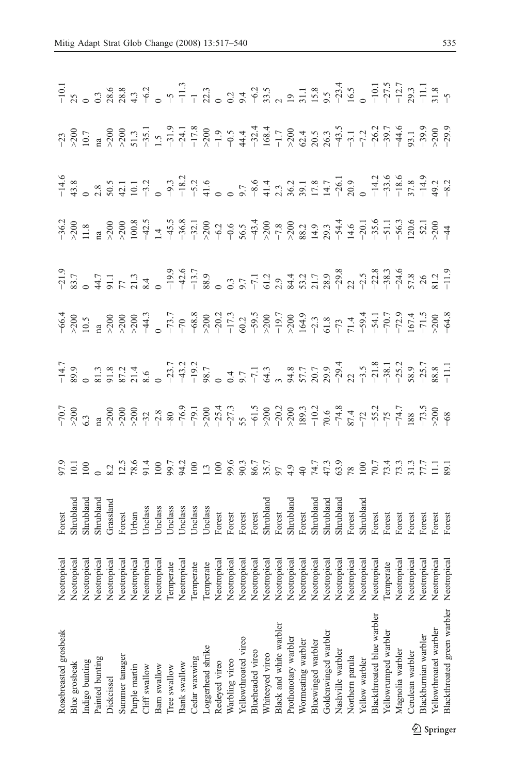| Rosebreasted grosbeak       |                                                                                                                                                                                                                                                                                                  |                                                                                                                                                                                                                                              |                                                                                                                                                                                                                                                                                        |                                                                                                                                                                                                                                                                                                                       |  |  |                                                                                                                                                                                                                               |  |
|-----------------------------|--------------------------------------------------------------------------------------------------------------------------------------------------------------------------------------------------------------------------------------------------------------------------------------------------|----------------------------------------------------------------------------------------------------------------------------------------------------------------------------------------------------------------------------------------------|----------------------------------------------------------------------------------------------------------------------------------------------------------------------------------------------------------------------------------------------------------------------------------------|-----------------------------------------------------------------------------------------------------------------------------------------------------------------------------------------------------------------------------------------------------------------------------------------------------------------------|--|--|-------------------------------------------------------------------------------------------------------------------------------------------------------------------------------------------------------------------------------|--|
| Blue grosbeak               |                                                                                                                                                                                                                                                                                                  |                                                                                                                                                                                                                                              |                                                                                                                                                                                                                                                                                        |                                                                                                                                                                                                                                                                                                                       |  |  |                                                                                                                                                                                                                               |  |
| Indigo bunting              | Neoropial<br>Metoropial<br>Neoropial<br>Neoropial<br>Neoropial<br>Neoropial<br>Neoropial<br>Neoropial<br>Neoropial<br>Temperate<br>Temperate<br>Neoropial<br>Neoropial<br>Neoropial<br>Neoropial<br>Neoropial<br>Neoropial<br>Neoropial<br>Neoropial<br>Neoropial<br>Neoropial<br>Neoropial<br>N | Forest<br>Shrubland<br>Shrubland<br>Shrubland<br>Crassis and Grassis assass as assass as assass as assassed<br>Directions of the Base of the Base of the Base of the Base of the Base of the Base of the Base of the Base of the Base of the | $\frac{1758}{7200}$ $\frac{3858}{7200}$ $\frac{3877}{720}$ $\frac{37587}{720}$ $\frac{37587}{720}$ $\frac{37587}{720}$ $\frac{37587}{720}$ $\frac{37587}{720}$ $\frac{37587}{720}$ $\frac{37587}{720}$ $\frac{37587}{720}$ $\frac{37587}{720}$ $\frac{37587}{720}$ $\frac{37587}{720}$ | $\frac{17}{1}$<br>$\frac{5}{8}$ $\frac{3}{8}$ $\frac{3}{8}$ $\frac{17}{8}$ $\frac{4}{8}$ $\frac{5}{1}$ $\frac{17}{8}$ $\frac{4}{5}$ $\frac{17}{8}$ $\frac{3}{8}$ $\frac{17}{1}$ $\frac{3}{8}$ $\frac{17}{1}$ $\frac{3}{8}$ $\frac{17}{1}$ $\frac{3}{8}$ $\frac{17}{1}$ $\frac{3}{8}$ $\frac{17}{1}$ $\frac{3}{8}$ $\$ |  |  | $7779$ $275$ $288$ $3775$ $4775$ $4775$ $4775$ $4775$ $4775$ $4775$ $4775$ $4775$ $4775$ $4775$ $4775$ $4775$ $4775$ $4775$ $4775$ $4775$ $4775$ $4775$ $4775$ $4775$ $4775$ $4775$ $4775$ $4775$ $4775$ $4775$ $4775$ $4775$ |  |
| Painted bunting             |                                                                                                                                                                                                                                                                                                  |                                                                                                                                                                                                                                              |                                                                                                                                                                                                                                                                                        |                                                                                                                                                                                                                                                                                                                       |  |  |                                                                                                                                                                                                                               |  |
| Dickcissel                  |                                                                                                                                                                                                                                                                                                  |                                                                                                                                                                                                                                              |                                                                                                                                                                                                                                                                                        |                                                                                                                                                                                                                                                                                                                       |  |  |                                                                                                                                                                                                                               |  |
| Summer tanager              |                                                                                                                                                                                                                                                                                                  |                                                                                                                                                                                                                                              |                                                                                                                                                                                                                                                                                        |                                                                                                                                                                                                                                                                                                                       |  |  |                                                                                                                                                                                                                               |  |
| Purple martin               |                                                                                                                                                                                                                                                                                                  |                                                                                                                                                                                                                                              |                                                                                                                                                                                                                                                                                        |                                                                                                                                                                                                                                                                                                                       |  |  |                                                                                                                                                                                                                               |  |
| Cliff swallow               |                                                                                                                                                                                                                                                                                                  |                                                                                                                                                                                                                                              |                                                                                                                                                                                                                                                                                        |                                                                                                                                                                                                                                                                                                                       |  |  |                                                                                                                                                                                                                               |  |
| Barn swallow                |                                                                                                                                                                                                                                                                                                  |                                                                                                                                                                                                                                              |                                                                                                                                                                                                                                                                                        |                                                                                                                                                                                                                                                                                                                       |  |  |                                                                                                                                                                                                                               |  |
| Tree swallow                |                                                                                                                                                                                                                                                                                                  |                                                                                                                                                                                                                                              |                                                                                                                                                                                                                                                                                        |                                                                                                                                                                                                                                                                                                                       |  |  |                                                                                                                                                                                                                               |  |
| Bank swallow                |                                                                                                                                                                                                                                                                                                  |                                                                                                                                                                                                                                              |                                                                                                                                                                                                                                                                                        |                                                                                                                                                                                                                                                                                                                       |  |  |                                                                                                                                                                                                                               |  |
| Cedar waxwing               |                                                                                                                                                                                                                                                                                                  |                                                                                                                                                                                                                                              |                                                                                                                                                                                                                                                                                        |                                                                                                                                                                                                                                                                                                                       |  |  |                                                                                                                                                                                                                               |  |
| Loggerhead shrike           |                                                                                                                                                                                                                                                                                                  |                                                                                                                                                                                                                                              |                                                                                                                                                                                                                                                                                        |                                                                                                                                                                                                                                                                                                                       |  |  |                                                                                                                                                                                                                               |  |
| Redeyed vireo               |                                                                                                                                                                                                                                                                                                  |                                                                                                                                                                                                                                              |                                                                                                                                                                                                                                                                                        |                                                                                                                                                                                                                                                                                                                       |  |  |                                                                                                                                                                                                                               |  |
| Warbling vireo              |                                                                                                                                                                                                                                                                                                  |                                                                                                                                                                                                                                              |                                                                                                                                                                                                                                                                                        |                                                                                                                                                                                                                                                                                                                       |  |  |                                                                                                                                                                                                                               |  |
| Yellowthroated vireo        |                                                                                                                                                                                                                                                                                                  |                                                                                                                                                                                                                                              |                                                                                                                                                                                                                                                                                        |                                                                                                                                                                                                                                                                                                                       |  |  |                                                                                                                                                                                                                               |  |
| Blueheaded vireo            |                                                                                                                                                                                                                                                                                                  |                                                                                                                                                                                                                                              |                                                                                                                                                                                                                                                                                        |                                                                                                                                                                                                                                                                                                                       |  |  |                                                                                                                                                                                                                               |  |
| Whiteeyed vireo             |                                                                                                                                                                                                                                                                                                  |                                                                                                                                                                                                                                              |                                                                                                                                                                                                                                                                                        |                                                                                                                                                                                                                                                                                                                       |  |  |                                                                                                                                                                                                                               |  |
| Black and white warbler     |                                                                                                                                                                                                                                                                                                  |                                                                                                                                                                                                                                              |                                                                                                                                                                                                                                                                                        |                                                                                                                                                                                                                                                                                                                       |  |  |                                                                                                                                                                                                                               |  |
| Prothonotary warbler        |                                                                                                                                                                                                                                                                                                  |                                                                                                                                                                                                                                              |                                                                                                                                                                                                                                                                                        |                                                                                                                                                                                                                                                                                                                       |  |  |                                                                                                                                                                                                                               |  |
| Wormeating warbler          |                                                                                                                                                                                                                                                                                                  |                                                                                                                                                                                                                                              |                                                                                                                                                                                                                                                                                        |                                                                                                                                                                                                                                                                                                                       |  |  |                                                                                                                                                                                                                               |  |
| Bluewinged warbler          |                                                                                                                                                                                                                                                                                                  |                                                                                                                                                                                                                                              |                                                                                                                                                                                                                                                                                        |                                                                                                                                                                                                                                                                                                                       |  |  |                                                                                                                                                                                                                               |  |
| Goldenwinged warbler        |                                                                                                                                                                                                                                                                                                  |                                                                                                                                                                                                                                              |                                                                                                                                                                                                                                                                                        |                                                                                                                                                                                                                                                                                                                       |  |  |                                                                                                                                                                                                                               |  |
| Nashville warbler           |                                                                                                                                                                                                                                                                                                  |                                                                                                                                                                                                                                              |                                                                                                                                                                                                                                                                                        |                                                                                                                                                                                                                                                                                                                       |  |  |                                                                                                                                                                                                                               |  |
| Northern parula             |                                                                                                                                                                                                                                                                                                  |                                                                                                                                                                                                                                              |                                                                                                                                                                                                                                                                                        |                                                                                                                                                                                                                                                                                                                       |  |  |                                                                                                                                                                                                                               |  |
| Yellow warbler              |                                                                                                                                                                                                                                                                                                  |                                                                                                                                                                                                                                              |                                                                                                                                                                                                                                                                                        |                                                                                                                                                                                                                                                                                                                       |  |  |                                                                                                                                                                                                                               |  |
| Blackthroated blue warbler  |                                                                                                                                                                                                                                                                                                  |                                                                                                                                                                                                                                              |                                                                                                                                                                                                                                                                                        |                                                                                                                                                                                                                                                                                                                       |  |  |                                                                                                                                                                                                                               |  |
| Yellowrumped warbler        |                                                                                                                                                                                                                                                                                                  |                                                                                                                                                                                                                                              |                                                                                                                                                                                                                                                                                        |                                                                                                                                                                                                                                                                                                                       |  |  |                                                                                                                                                                                                                               |  |
| Magnolia warbler            | Temperate<br>Neotropical                                                                                                                                                                                                                                                                         |                                                                                                                                                                                                                                              |                                                                                                                                                                                                                                                                                        |                                                                                                                                                                                                                                                                                                                       |  |  |                                                                                                                                                                                                                               |  |
| Cerulean warbler            | Neotropical                                                                                                                                                                                                                                                                                      |                                                                                                                                                                                                                                              |                                                                                                                                                                                                                                                                                        |                                                                                                                                                                                                                                                                                                                       |  |  |                                                                                                                                                                                                                               |  |
| Blackburnian warbler        |                                                                                                                                                                                                                                                                                                  |                                                                                                                                                                                                                                              |                                                                                                                                                                                                                                                                                        |                                                                                                                                                                                                                                                                                                                       |  |  |                                                                                                                                                                                                                               |  |
| Yellowthroated warbler      | Neotropical<br>Neotropical<br>Neotropical                                                                                                                                                                                                                                                        |                                                                                                                                                                                                                                              |                                                                                                                                                                                                                                                                                        |                                                                                                                                                                                                                                                                                                                       |  |  |                                                                                                                                                                                                                               |  |
| Blackthroated green warbler |                                                                                                                                                                                                                                                                                                  |                                                                                                                                                                                                                                              |                                                                                                                                                                                                                                                                                        |                                                                                                                                                                                                                                                                                                                       |  |  |                                                                                                                                                                                                                               |  |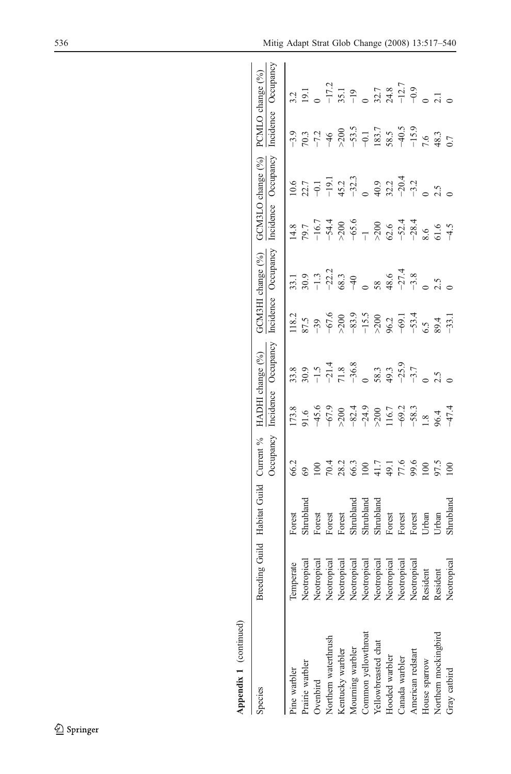| Appendix 1 (continued) |                  |                                                                                                                  |                        |                                                                                                                                                                |                     |                                                                                                                                                                                                                                                                                                                                                                                                                            |                                |                                                                                                                                                                                                                                                                                                                                                |                                          |                  |                     |
|------------------------|------------------|------------------------------------------------------------------------------------------------------------------|------------------------|----------------------------------------------------------------------------------------------------------------------------------------------------------------|---------------------|----------------------------------------------------------------------------------------------------------------------------------------------------------------------------------------------------------------------------------------------------------------------------------------------------------------------------------------------------------------------------------------------------------------------------|--------------------------------|------------------------------------------------------------------------------------------------------------------------------------------------------------------------------------------------------------------------------------------------------------------------------------------------------------------------------------------------|------------------------------------------|------------------|---------------------|
| Species                | Breeding Guild   | Habitat Guild                                                                                                    | Occupancy<br>Current % | HADHI change (%)                                                                                                                                               | Incidence Occupancy | Incidence                                                                                                                                                                                                                                                                                                                                                                                                                  | Occupancy<br>GCM3HI change (%) |                                                                                                                                                                                                                                                                                                                                                | Incidence Occupancy<br>GCM3LO change (%) | PCMLO change (%) | Incidence Occupancy |
| Pine warbler           | orate<br>Temp    | Forest                                                                                                           |                        | 173.8                                                                                                                                                          |                     |                                                                                                                                                                                                                                                                                                                                                                                                                            | 33.1                           |                                                                                                                                                                                                                                                                                                                                                |                                          |                  |                     |
| Prairie warbler        | ropical<br>Neotr | Shrublano                                                                                                        |                        |                                                                                                                                                                |                     | $\begin{array}{l} 118.2\\ 87.5\\ 87.5\\ -9\\ \hline \end{array} \begin{array}{l} 6,6\\ 7\\ 8\\ 7\\ \hline \end{array} \begin{array}{l} 6,6\\ 7\\ 8\\ \hline \end{array} \begin{array}{l} 6,6\\ 7\\ 8\\ \hline \end{array} \begin{array}{l} 6,6\\ 7\\ 8\\ \hline \end{array} \begin{array}{l} 6,6\\ 7\\ 8\\ \hline \end{array} \begin{array}{l} 6,6\\ 7\\ \hline \end{array} \begin{array}{l} 6,6\\ 7\\ \hline \end{array}$ |                                | $\begin{array}{l} 4.8 \\ 19.7 \\ 19.7 \\ -19.7 \\ -19.8 \\ -19.8 \\ -19.8 \\ -19.8 \\ -19.8 \\ -19.8 \\ -19.8 \\ -19.8 \\ -19.8 \\ -19.8 \\ -19.8 \\ -19.8 \\ -19.8 \\ -19.8 \\ -19.8 \\ -19.8 \\ -19.8 \\ -19.8 \\ -19.8 \\ -19.8 \\ -19.8 \\ -19.8 \\ -19.8 \\ -19.8 \\ -19.8 \\ -19.8 \\ -19.8 \\ -19.8 \\ -19.8 \\ -19.8 \\ -19.8 \\ -19.$ |                                          |                  |                     |
| Ovenbird               | ropical<br>Neoti | Forest                                                                                                           |                        | 91.6<br>$-45.0$<br>$-67.9$<br>$-82.4$<br>$-82.4$<br>$-16.7$<br>$-16.7$<br>$-67.3$<br>$-16.7$<br>$-67.3$<br>$-67.3$<br>$-67.3$<br>$-16.7$<br>$-67.3$<br>$-67.3$ |                     |                                                                                                                                                                                                                                                                                                                                                                                                                            |                                |                                                                                                                                                                                                                                                                                                                                                |                                          |                  |                     |
| Northern waterthrush   | ropical<br>Neoti | Forest                                                                                                           |                        |                                                                                                                                                                |                     |                                                                                                                                                                                                                                                                                                                                                                                                                            |                                |                                                                                                                                                                                                                                                                                                                                                |                                          |                  |                     |
| Kentucky warbler       | Neotropical      | Forest                                                                                                           |                        |                                                                                                                                                                |                     |                                                                                                                                                                                                                                                                                                                                                                                                                            |                                |                                                                                                                                                                                                                                                                                                                                                |                                          |                  |                     |
| Mourning warbler       | Neotropica       | Shrubland                                                                                                        |                        |                                                                                                                                                                |                     |                                                                                                                                                                                                                                                                                                                                                                                                                            |                                |                                                                                                                                                                                                                                                                                                                                                |                                          |                  |                     |
| Common yellowthroat    | Neotropical      | Shrubland                                                                                                        |                        |                                                                                                                                                                |                     |                                                                                                                                                                                                                                                                                                                                                                                                                            |                                |                                                                                                                                                                                                                                                                                                                                                |                                          |                  |                     |
| Yellowbreasted chat    | Neotropical      | Shrubland                                                                                                        |                        |                                                                                                                                                                |                     |                                                                                                                                                                                                                                                                                                                                                                                                                            |                                |                                                                                                                                                                                                                                                                                                                                                |                                          |                  |                     |
| Hooded warbler         | Neotropical      |                                                                                                                  |                        |                                                                                                                                                                |                     |                                                                                                                                                                                                                                                                                                                                                                                                                            |                                |                                                                                                                                                                                                                                                                                                                                                |                                          |                  |                     |
| Canada warbler         | Neotropical      |                                                                                                                  |                        |                                                                                                                                                                |                     |                                                                                                                                                                                                                                                                                                                                                                                                                            |                                |                                                                                                                                                                                                                                                                                                                                                |                                          |                  |                     |
| American redstart      | Neotropical      | $\begin{array}{c} \text{Forest} \\ \text{Forest} \\ \text{Forest} \\ \text{Forest} \\ \text{Linear} \end{array}$ |                        |                                                                                                                                                                |                     |                                                                                                                                                                                                                                                                                                                                                                                                                            |                                |                                                                                                                                                                                                                                                                                                                                                |                                          |                  |                     |
| House sparrow          | lent<br>Resid    |                                                                                                                  |                        |                                                                                                                                                                |                     |                                                                                                                                                                                                                                                                                                                                                                                                                            |                                |                                                                                                                                                                                                                                                                                                                                                |                                          |                  |                     |
| Northern mockingbird   | Resident         | Urban                                                                                                            |                        |                                                                                                                                                                |                     |                                                                                                                                                                                                                                                                                                                                                                                                                            |                                |                                                                                                                                                                                                                                                                                                                                                |                                          |                  |                     |
| Gray catbird           | ropical<br>Neotr | Shrubland                                                                                                        |                        | $-47.4$                                                                                                                                                        |                     |                                                                                                                                                                                                                                                                                                                                                                                                                            |                                |                                                                                                                                                                                                                                                                                                                                                |                                          |                  |                     |

Appendix 1 (continued)

 $\underline{\textcircled{\tiny 2}}$  Springer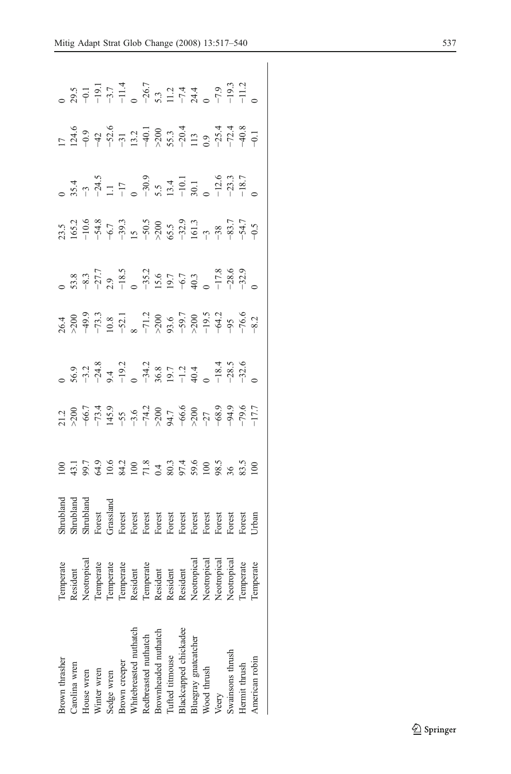| Brown thrasher         |                                                                                                                                                                                                                                                              |                                                                                                                                                                                                                                                                                                                    |  |                                                                                                                                                                                                                                                                                      |  |                                                                                                                                                                                                                                |  |                                                                                                                                                                                                                                                                                                                                                             |
|------------------------|--------------------------------------------------------------------------------------------------------------------------------------------------------------------------------------------------------------------------------------------------------------|--------------------------------------------------------------------------------------------------------------------------------------------------------------------------------------------------------------------------------------------------------------------------------------------------------------------|--|--------------------------------------------------------------------------------------------------------------------------------------------------------------------------------------------------------------------------------------------------------------------------------------|--|--------------------------------------------------------------------------------------------------------------------------------------------------------------------------------------------------------------------------------|--|-------------------------------------------------------------------------------------------------------------------------------------------------------------------------------------------------------------------------------------------------------------------------------------------------------------------------------------------------------------|
| Carolina wren          |                                                                                                                                                                                                                                                              |                                                                                                                                                                                                                                                                                                                    |  |                                                                                                                                                                                                                                                                                      |  |                                                                                                                                                                                                                                |  |                                                                                                                                                                                                                                                                                                                                                             |
| House wren             |                                                                                                                                                                                                                                                              |                                                                                                                                                                                                                                                                                                                    |  |                                                                                                                                                                                                                                                                                      |  |                                                                                                                                                                                                                                |  |                                                                                                                                                                                                                                                                                                                                                             |
| Winter wren            |                                                                                                                                                                                                                                                              |                                                                                                                                                                                                                                                                                                                    |  |                                                                                                                                                                                                                                                                                      |  |                                                                                                                                                                                                                                |  |                                                                                                                                                                                                                                                                                                                                                             |
| Sedge wren             | Temperate<br>Resident<br>Resident<br>Temperate<br>Temperate<br>Temperate<br>Resident<br>Resident<br>Resident<br>Resident<br>Resident<br>Resident<br>Resident<br>Resident<br>Resident<br>Resident<br>Resident<br>Resident<br>Resident<br>Resident<br>Resident | Shrubland<br>Shrubland<br>Shrubland<br>Crosss Rorest<br>Grassland<br>Forest Rorest<br>Rorest<br>Rorest<br>Rorest<br>Rorest<br>Rorest<br>Rorest<br>Rorest<br>Rorest<br>Rorest<br>Rorest<br>Rorest<br>Rorest<br>Rorest<br>Rorest<br>Rorest<br>Rorest<br>Rorest<br>Rorest<br>Rorest<br>Rorest<br>Rorest<br>Rorest<br> |  | $\begin{array}{cccccccccccccc} 0.02 & 0.02 & 0.02 & 0.02 & 0.02 & 0.02 & 0.02 & 0.02 & 0.02 & 0.02 & 0.02 & 0.02 & 0.02 & 0.02 & 0.02 & 0.02 & 0.02 & 0.02 & 0.02 & 0.02 & 0.02 & 0.02 & 0.02 & 0.02 & 0.02 & 0.02 & 0.02 & 0.02 & 0.02 & 0.02 & 0.02 & 0.02 & 0.02 & 0.02 & 0.02 &$ |  | $(3.58)$ $(3.68)$ $(5.78)$ $(5.78)$ $(5.78)$ $(5.78)$ $(5.78)$ $(5.78)$ $(5.78)$ $(5.78)$ $(5.78)$ $(5.78)$ $(5.78)$ $(5.78)$ $(5.78)$ $(5.78)$ $(5.78)$ $(5.78)$ $(5.78)$ $(5.78)$ $(5.78)$ $(5.78)$ $(5.78)$ $(5.78)$ $(5.7$ |  | $\begin{array}{c}\n 0.5333 \\  0.7131 \\  -0.1911 \\  -0.1911 \\  -0.67 \\  -0.074 \\  -0.074 \\  -0.074 \\  -0.074 \\  -0.074 \\  -0.074 \\  -0.074 \\  -0.074 \\  -0.074 \\  -0.074 \\  -0.074 \\  -0.074 \\  -0.074 \\  -0.074 \\  -0.074 \\  -0.074 \\  -0.074 \\  -0.074 \\  -0.074 \\  -0.074 \\  -0.074 \\  -0.074 \\  -0.074 \\  -0.074 \\  -0.074$ |
| drown creeper          |                                                                                                                                                                                                                                                              |                                                                                                                                                                                                                                                                                                                    |  |                                                                                                                                                                                                                                                                                      |  |                                                                                                                                                                                                                                |  |                                                                                                                                                                                                                                                                                                                                                             |
| Whitebreasted nuthatch |                                                                                                                                                                                                                                                              |                                                                                                                                                                                                                                                                                                                    |  |                                                                                                                                                                                                                                                                                      |  |                                                                                                                                                                                                                                |  |                                                                                                                                                                                                                                                                                                                                                             |
| Redbreasted nuthatch   |                                                                                                                                                                                                                                                              |                                                                                                                                                                                                                                                                                                                    |  |                                                                                                                                                                                                                                                                                      |  |                                                                                                                                                                                                                                |  |                                                                                                                                                                                                                                                                                                                                                             |
| Brownheaded nuthatch   |                                                                                                                                                                                                                                                              |                                                                                                                                                                                                                                                                                                                    |  |                                                                                                                                                                                                                                                                                      |  |                                                                                                                                                                                                                                |  |                                                                                                                                                                                                                                                                                                                                                             |
| <b>Lufted</b> titmouse |                                                                                                                                                                                                                                                              |                                                                                                                                                                                                                                                                                                                    |  |                                                                                                                                                                                                                                                                                      |  |                                                                                                                                                                                                                                |  |                                                                                                                                                                                                                                                                                                                                                             |
| Blackcapped chickadee  |                                                                                                                                                                                                                                                              |                                                                                                                                                                                                                                                                                                                    |  |                                                                                                                                                                                                                                                                                      |  |                                                                                                                                                                                                                                |  |                                                                                                                                                                                                                                                                                                                                                             |
| Bluegray gnatcatcher   |                                                                                                                                                                                                                                                              |                                                                                                                                                                                                                                                                                                                    |  |                                                                                                                                                                                                                                                                                      |  |                                                                                                                                                                                                                                |  |                                                                                                                                                                                                                                                                                                                                                             |
| Nood thrush            |                                                                                                                                                                                                                                                              |                                                                                                                                                                                                                                                                                                                    |  |                                                                                                                                                                                                                                                                                      |  |                                                                                                                                                                                                                                |  |                                                                                                                                                                                                                                                                                                                                                             |
| Veery                  |                                                                                                                                                                                                                                                              |                                                                                                                                                                                                                                                                                                                    |  |                                                                                                                                                                                                                                                                                      |  |                                                                                                                                                                                                                                |  |                                                                                                                                                                                                                                                                                                                                                             |
| swainsons thrush       |                                                                                                                                                                                                                                                              |                                                                                                                                                                                                                                                                                                                    |  |                                                                                                                                                                                                                                                                                      |  |                                                                                                                                                                                                                                |  |                                                                                                                                                                                                                                                                                                                                                             |
| Hermit thrush          |                                                                                                                                                                                                                                                              |                                                                                                                                                                                                                                                                                                                    |  |                                                                                                                                                                                                                                                                                      |  |                                                                                                                                                                                                                                |  |                                                                                                                                                                                                                                                                                                                                                             |
| American robin         |                                                                                                                                                                                                                                                              |                                                                                                                                                                                                                                                                                                                    |  |                                                                                                                                                                                                                                                                                      |  |                                                                                                                                                                                                                                |  |                                                                                                                                                                                                                                                                                                                                                             |
|                        |                                                                                                                                                                                                                                                              |                                                                                                                                                                                                                                                                                                                    |  |                                                                                                                                                                                                                                                                                      |  |                                                                                                                                                                                                                                |  |                                                                                                                                                                                                                                                                                                                                                             |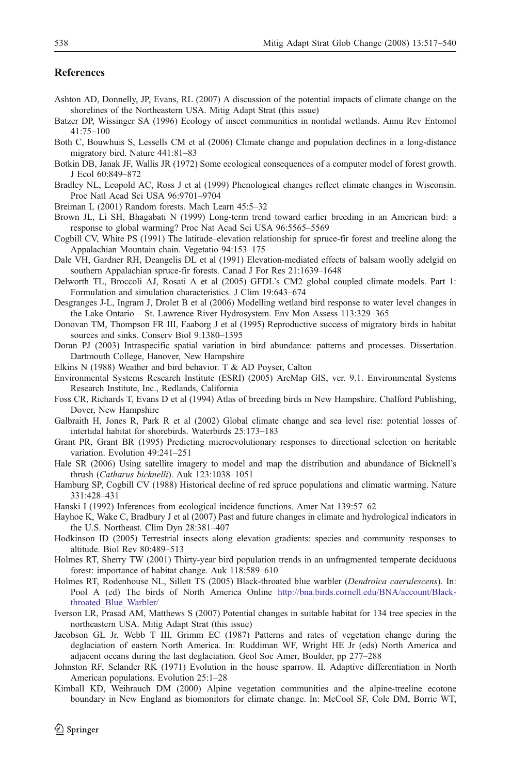# <span id="page-21-0"></span>**References**

- Ashton AD, Donnelly, JP, Evans, RL (2007) A discussion of the potential impacts of climate change on the shorelines of the Northeastern USA. Mitig Adapt Strat (this issue)
- Batzer DP, Wissinger SA (1996) Ecology of insect communities in nontidal wetlands. Annu Rev Entomol 41:75–100
- Both C, Bouwhuis S, Lessells CM et al (2006) Climate change and population declines in a long-distance migratory bird. Nature 441:81–83
- Botkin DB, Janak JF, Wallis JR (1972) Some ecological consequences of a computer model of forest growth. J Ecol 60:849–872
- Bradley NL, Leopold AC, Ross J et al (1999) Phenological changes reflect climate changes in Wisconsin. Proc Natl Acad Sci USA 96:9701–9704
- Breiman L (2001) Random forests. Mach Learn 45:5–32
- Brown JL, Li SH, Bhagabati N (1999) Long-term trend toward earlier breeding in an American bird: a response to global warming? Proc Nat Acad Sci USA 96:5565–5569
- Cogbill CV, White PS (1991) The latitude–elevation relationship for spruce-fir forest and treeline along the Appalachian Mountain chain. Vegetatio 94:153–175
- Dale VH, Gardner RH, Deangelis DL et al (1991) Elevation-mediated effects of balsam woolly adelgid on southern Appalachian spruce-fir forests. Canad J For Res 21:1639–1648
- Delworth TL, Broccoli AJ, Rosati A et al (2005) GFDL's CM2 global coupled climate models. Part 1: Formulation and simulation characteristics. J Clim 19:643–674
- Desgranges J-L, Ingram J, Drolet B et al (2006) Modelling wetland bird response to water level changes in the Lake Ontario – St. Lawrence River Hydrosystem. Env Mon Assess 113:329–365
- Donovan TM, Thompson FR III, Faaborg J et al (1995) Reproductive success of migratory birds in habitat sources and sinks. Conserv Biol 9:1380–1395
- Doran PJ (2003) Intraspecific spatial variation in bird abundance: patterns and processes. Dissertation. Dartmouth College, Hanover, New Hampshire
- Elkins N (1988) Weather and bird behavior. T & AD Poyser, Calton
- Environmental Systems Research Institute (ESRI) (2005) ArcMap GIS, ver. 9.1. Environmental Systems Research Institute, Inc., Redlands, California
- Foss CR, Richards T, Evans D et al (1994) Atlas of breeding birds in New Hampshire. Chalford Publishing, Dover, New Hampshire
- Galbraith H, Jones R, Park R et al (2002) Global climate change and sea level rise: potential losses of intertidal habitat for shorebirds. Waterbirds 25:173–183
- Grant PR, Grant BR (1995) Predicting microevolutionary responses to directional selection on heritable variation. Evolution 49:241–251
- Hale SR (2006) Using satellite imagery to model and map the distribution and abundance of Bicknell's thrush (Catharus bicknelli). Auk 123:1038–1051
- Hamburg SP, Cogbill CV (1988) Historical decline of red spruce populations and climatic warming. Nature 331:428–431
- Hanski I (1992) Inferences from ecological incidence functions. Amer Nat 139:57–62
- Hayhoe K, Wake C, Bradbury J et al (2007) Past and future changes in climate and hydrological indicators in the U.S. Northeast. Clim Dyn 28:381–407
- Hodkinson ID (2005) Terrestrial insects along elevation gradients: species and community responses to altitude. Biol Rev 80:489–513
- Holmes RT, Sherry TW (2001) Thirty-year bird population trends in an unfragmented temperate deciduous forest: importance of habitat change. Auk 118:589–610
- Holmes RT, Rodenhouse NL, Sillett TS (2005) Black-throated blue warbler (Dendroica caerulescens). In: Pool A (ed) The birds of North America Online [http://bna.birds.cornell.edu/BNA/account/Black](http://bna.birds.cornell.edu/BNA/account/Black-throated_Blue_Warbler/)[throated\\_Blue\\_Warbler/](http://bna.birds.cornell.edu/BNA/account/Black-throated_Blue_Warbler/)
- Iverson LR, Prasad AM, Matthews S (2007) Potential changes in suitable habitat for 134 tree species in the northeastern USA. Mitig Adapt Strat (this issue)
- Jacobson GL Jr, Webb T III, Grimm EC (1987) Patterns and rates of vegetation change during the deglaciation of eastern North America. In: Ruddiman WF, Wright HE Jr (eds) North America and adjacent oceans during the last deglaciation. Geol Soc Amer, Boulder, pp 277–288
- Johnston RF, Selander RK (1971) Evolution in the house sparrow. II. Adaptive differentiation in North American populations. Evolution 25:1–28
- Kimball KD, Weihrauch DM (2000) Alpine vegetation communities and the alpine-treeline ecotone boundary in New England as biomonitors for climate change. In: McCool SF, Cole DM, Borrie WT,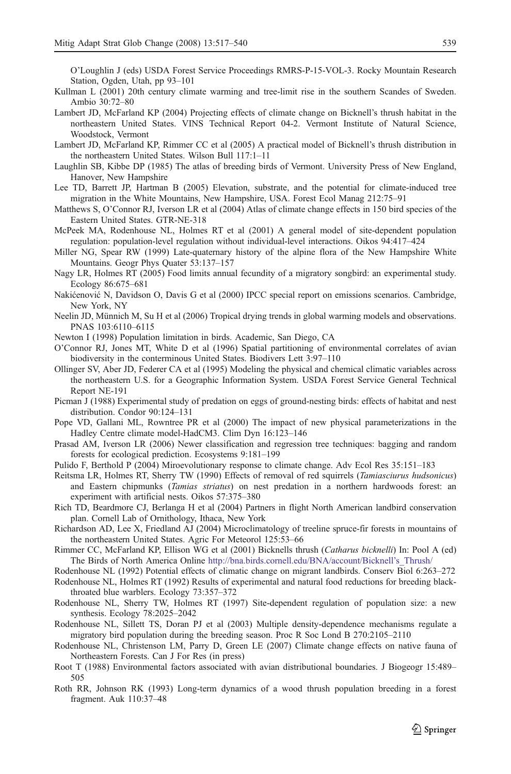<span id="page-22-0"></span>O'Loughlin J (eds) USDA Forest Service Proceedings RMRS-P-15-VOL-3. Rocky Mountain Research Station, Ogden, Utah, pp 93–101

- Kullman L (2001) 20th century climate warming and tree-limit rise in the southern Scandes of Sweden. Ambio 30:72–80
- Lambert JD, McFarland KP (2004) Projecting effects of climate change on Bicknell's thrush habitat in the northeastern United States. VINS Technical Report 04-2. Vermont Institute of Natural Science, Woodstock, Vermont
- Lambert JD, McFarland KP, Rimmer CC et al (2005) A practical model of Bicknell's thrush distribution in the northeastern United States. Wilson Bull 117:1–11
- Laughlin SB, Kibbe DP (1985) The atlas of breeding birds of Vermont. University Press of New England, Hanover, New Hampshire
- Lee TD, Barrett JP, Hartman B (2005) Elevation, substrate, and the potential for climate-induced tree migration in the White Mountains, New Hampshire, USA. Forest Ecol Manag 212:75–91
- Matthews S, O'Connor RJ, Iverson LR et al (2004) Atlas of climate change effects in 150 bird species of the Eastern United States. GTR-NE-318
- McPeek MA, Rodenhouse NL, Holmes RT et al (2001) A general model of site-dependent population regulation: population-level regulation without individual-level interactions. Oikos 94:417–424
- Miller NG, Spear RW (1999) Late-quaternary history of the alpine flora of the New Hampshire White Mountains. Geogr Phys Quater 53:137–157
- Nagy LR, Holmes RT (2005) Food limits annual fecundity of a migratory songbird: an experimental study. Ecology 86:675–681
- Nakićenović N, Davidson O, Davis G et al (2000) IPCC special report on emissions scenarios. Cambridge, New York, NY
- Neelin JD, Münnich M, Su H et al (2006) Tropical drying trends in global warming models and observations. PNAS 103:6110–6115
- Newton I (1998) Population limitation in birds. Academic, San Diego, CA
- O'Connor RJ, Jones MT, White D et al (1996) Spatial partitioning of environmental correlates of avian biodiversity in the conterminous United States. Biodivers Lett 3:97–110
- Ollinger SV, Aber JD, Federer CA et al (1995) Modeling the physical and chemical climatic variables across the northeastern U.S. for a Geographic Information System. USDA Forest Service General Technical Report NE-191
- Picman J (1988) Experimental study of predation on eggs of ground-nesting birds: effects of habitat and nest distribution. Condor 90:124–131
- Pope VD, Gallani ML, Rowntree PR et al (2000) The impact of new physical parameterizations in the Hadley Centre climate model-HadCM3. Clim Dyn 16:123–146
- Prasad AM, Iverson LR (2006) Newer classification and regression tree techniques: bagging and random forests for ecological prediction. Ecosystems 9:181–199
- Pulido F, Berthold P (2004) Miroevolutionary response to climate change. Adv Ecol Res 35:151–183
- Reitsma LR, Holmes RT, Sherry TW (1990) Effects of removal of red squirrels (Tamiasciurus hudsonicus) and Eastern chipmunks (Tamias striatus) on nest predation in a northern hardwoods forest: an experiment with artificial nests. Oikos 57:375–380
- Rich TD, Beardmore CJ, Berlanga H et al (2004) Partners in flight North American landbird conservation plan. Cornell Lab of Ornithology, Ithaca, New York
- Richardson AD, Lee X, Friedland AJ (2004) Microclimatology of treeline spruce-fir forests in mountains of the northeastern United States. Agric For Meteorol 125:53–66
- Rimmer CC, McFarland KP, Ellison WG et al (2001) Bicknells thrush (Catharus bicknelli) In: Pool A (ed) The Birds of North America Online [http://bna.birds.cornell.edu/BNA/account/Bicknell](http://bna.birds.cornell.edu/BNA/account/Bicknells_Thrush/)'s\_Thrush/
- Rodenhouse NL (1992) Potential effects of climatic change on migrant landbirds. Conserv Biol 6:263–272
- Rodenhouse NL, Holmes RT (1992) Results of experimental and natural food reductions for breeding blackthroated blue warblers. Ecology 73:357–372
- Rodenhouse NL, Sherry TW, Holmes RT (1997) Site-dependent regulation of population size: a new synthesis. Ecology 78:2025–2042
- Rodenhouse NL, Sillett TS, Doran PJ et al (2003) Multiple density-dependence mechanisms regulate a migratory bird population during the breeding season. Proc R Soc Lond B 270:2105–2110
- Rodenhouse NL, Christenson LM, Parry D, Green LE (2007) Climate change effects on native fauna of Northeastern Forests. Can J For Res (in press)
- Root T (1988) Environmental factors associated with avian distributional boundaries. J Biogeogr 15:489– 505
- Roth RR, Johnson RK (1993) Long-term dynamics of a wood thrush population breeding in a forest fragment. Auk 110:37–48